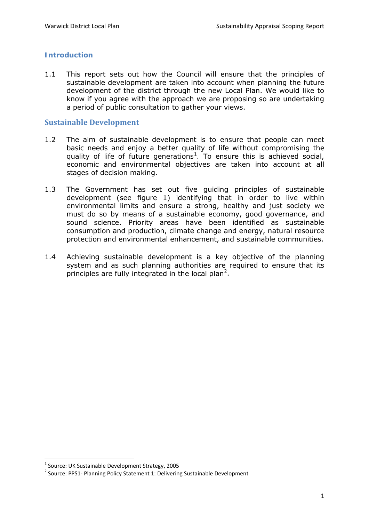# **Introduction**

1.1 This report sets out how the Council will ensure that the principles of sustainable development are taken into account when planning the future development of the district through the new Local Plan. We would like to know if you agree with the approach we are proposing so are undertaking a period of public consultation to gather your views.

## **Sustainable Development**

- 1.2 The aim of sustainable development is to *ensure that people can meet basic needs and enjoy a better quality of life without compromising the quality of life of future generations[1](#page-0-0) .* To ensure this is achieved social, economic and environmental objectives are taken into account at all stages of decision making.
- 1.3 The Government has set out five guiding principles of sustainable development (see figure 1) identifying that in order to live within environmental limits and ensure a strong, healthy and just society we must do so by means of a sustainable economy, good governance, and sound science. Priority areas have been identified as sustainable consumption and production, climate change and energy, natural resource protection and environmental enhancement, and sustainable communities.
- 1.4 Achieving sustainable development is a key objective of the planning system and as such planning authorities are required to ensure that its principles are fully integrated in the local plan<sup>[2](#page-0-1)</sup>.

 $1$  Source: UK Sustainable Development Strategy, 2005

<span id="page-0-1"></span><span id="page-0-0"></span><sup>&</sup>lt;sup>2</sup> Source: PPS1- Planning Policy Statement 1: Delivering Sustainable Development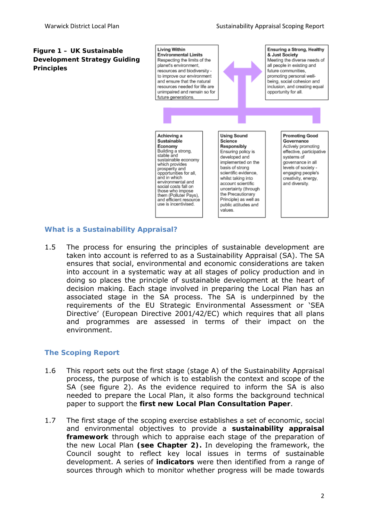#### **Figure 1 – UK Sustainable Development Strategy Guiding Principles**



# **What is a Sustainability Appraisal?**

1.5 The process for ensuring the principles of sustainable development are taken into account is referred to as a Sustainability Appraisal (SA). The SA ensures that social, environmental and economic considerations are taken into account in a systematic way at all stages of policy production and in doing so places the principle of sustainable development at the heart of decision making. Each stage involved in preparing the Local Plan has an associated stage in the SA process. The SA is underpinned by the requirements of the EU Strategic Environmental Assessment or 'SEA Directive' (European Directive 2001/42/EC) which requires that all plans and programmes are assessed in terms of their impact on the environment.

#### **The Scoping Report**

- 1.6 This report sets out the first stage (stage A) of the Sustainability Appraisal process, the purpose of which is to establish the context and scope of the SA (see figure 2). As the evidence required to inform the SA is also needed to prepare the Local Plan, it also forms the background technical paper to support the **first new Local Plan Consultation Paper**.
- 1.7 The first stage of the scoping exercise establishes a set of economic, social and environmental objectives to provide a **sustainability appraisal framework** through which to appraise each stage of the preparation of the new Local Plan **(see Chapter 2).** In developing the framework, the Council sought to reflect key local issues in terms of sustainable development. A series of **indicators** were then identified from a range of sources through which to monitor whether progress will be made towards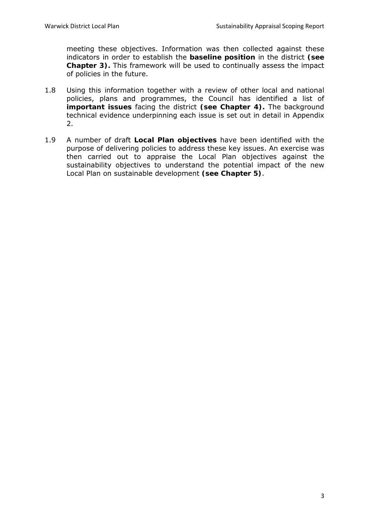meeting these objectives. Information was then collected against these indicators in order to establish the **baseline position** in the district **(see Chapter 3).** This framework will be used to continually assess the impact of policies in the future.

- 1.8 Using this information together with a review of other local and national policies, plans and programmes, the Council has identified a list of **important issues** facing the district **(see Chapter 4).** The background technical evidence underpinning each issue is set out in detail in Appendix 2.
- 1.9 A number of draft **Local Plan objectives** have been identified with the purpose of delivering policies to address these key issues. An exercise was then carried out to appraise the Local Plan objectives against the sustainability objectives to understand the potential impact of the new Local Plan on sustainable development **(see Chapter 5)**.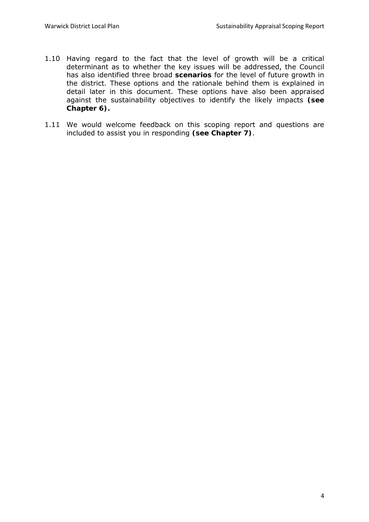- 1.10 Having regard to the fact that the level of growth will be a critical determinant as to whether the key issues will be addressed, the Council has also identified three broad **scenarios** for the level of future growth in the district. These options and the rationale behind them is explained in detail later in this document. These options have also been appraised against the sustainability objectives to identify the likely impacts **(see Chapter 6).**
- 1.11 We would welcome feedback on this scoping report and questions are included to assist you in responding **(see Chapter 7)**.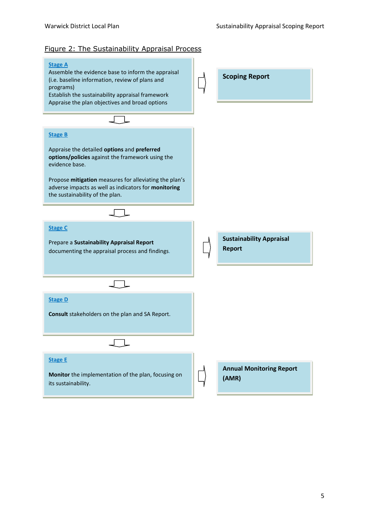#### Figure 2: The Sustainability Appraisal Process

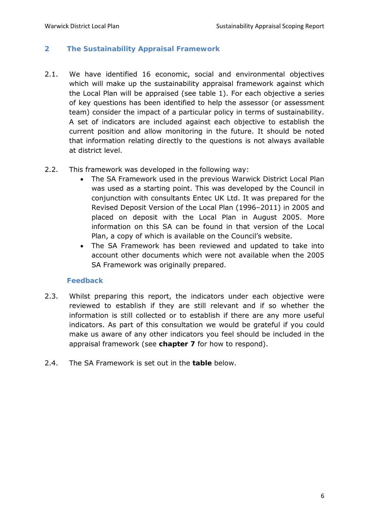## **2 The Sustainability Appraisal Framework**

2.1. We have identified 16 economic, social and environmental objectives which will make up the sustainability appraisal framework against which the Local Plan will be appraised (see table 1). For each objective a series of key questions has been identified to help the assessor (or assessment team) consider the impact of a particular policy in terms of sustainability. A set of indicators are included against each objective to establish the current position and allow monitoring in the future. It should be noted that information relating directly to the questions is not always available at district level.

#### 2.2. This framework was developed in the following way:

- The SA Framework used in the previous Warwick District Local Plan was used as a starting point. This was developed by the Council in conjunction with consultants Entec UK Ltd. It was prepared for the Revised Deposit Version of the Local Plan (1996–2011) in 2005 and placed on deposit with the Local Plan in August 2005. More information on this SA can be found in that version of the Local Plan, a copy of which is available on the Council's website.
- The SA Framework has been reviewed and updated to take into account other documents which were not available when the 2005 SA Framework was originally prepared.

#### **Feedback**

- 2.3. Whilst preparing this report, the indicators under each objective were reviewed to establish if they are still relevant and if so whether the information is still collected or to establish if there are any more useful indicators. As part of this consultation we would be grateful if you could make us aware of any other indicators you feel should be included in the appraisal framework (see **chapter 7** for how to respond).
- 2.4. The SA Framework is set out in the **table** below.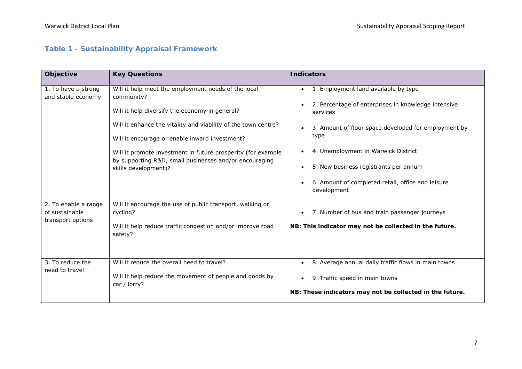# **Table 1 - Sustainability Appraisal Framework**

| Objective                                                   | <b>Key Questions</b>                                                                                                                                                                                                                                                                                                                                                                      | <b>Indicators</b>                                                                                                                                                                                                                                                                                                                        |
|-------------------------------------------------------------|-------------------------------------------------------------------------------------------------------------------------------------------------------------------------------------------------------------------------------------------------------------------------------------------------------------------------------------------------------------------------------------------|------------------------------------------------------------------------------------------------------------------------------------------------------------------------------------------------------------------------------------------------------------------------------------------------------------------------------------------|
| 1. To have a strong<br>and stable economy                   | Will it help meet the employment needs of the local<br>community?<br>Will it help diversify the economy in general?<br>Will it enhance the vitality and viability of the town centre?<br>Will it encourage or enable inward investment?<br>Will it promote investment in future prosperity (for example<br>by supporting R&D, small businesses and/or encouraging<br>skills development)? | 1. Employment land available by type<br>$\bullet$<br>2. Percentage of enterprises in knowledge intensive<br>services<br>3. Amount of floor space developed for employment by<br>type<br>4. Unemployment in Warwick District<br>5. New business registrants per annum<br>6. Amount of completed retail, office and leisure<br>development |
| 2. To enable a range<br>of sustainable<br>transport options | Will it encourage the use of public transport, walking or<br>cycling?<br>Will it help reduce traffic congestion and/or improve road<br>safety?                                                                                                                                                                                                                                            | 7. Number of bus and train passenger journeys<br>NB: This indicator may not be collected in the future.                                                                                                                                                                                                                                  |
| 3. To reduce the<br>need to travel                          | Will it reduce the overall need to travel?<br>Will it help reduce the movement of people and goods by<br>car / lorry?                                                                                                                                                                                                                                                                     | 8. Average annual daily traffic flows in main towns<br>9. Traffic speed in main towns<br>NB: These indicators may not be collected in the future.                                                                                                                                                                                        |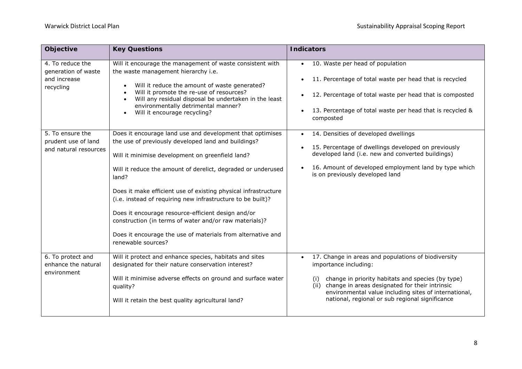| Objective                                                            | <b>Key Questions</b>                                                                                                                                                                                                                                                                                                                                                                                                                                                                                                                                                                | <b>Indicators</b>                                                                                                                                                                                                                                                                                              |
|----------------------------------------------------------------------|-------------------------------------------------------------------------------------------------------------------------------------------------------------------------------------------------------------------------------------------------------------------------------------------------------------------------------------------------------------------------------------------------------------------------------------------------------------------------------------------------------------------------------------------------------------------------------------|----------------------------------------------------------------------------------------------------------------------------------------------------------------------------------------------------------------------------------------------------------------------------------------------------------------|
| 4. To reduce the<br>generation of waste<br>and increase<br>recycling | Will it encourage the management of waste consistent with<br>the waste management hierarchy i.e.<br>Will it reduce the amount of waste generated?<br>Will it promote the re-use of resources?<br>Will any residual disposal be undertaken in the least<br>environmentally detrimental manner?<br>Will it encourage recycling?                                                                                                                                                                                                                                                       | 10. Waste per head of population<br>$\bullet$<br>11. Percentage of total waste per head that is recycled<br>12. Percentage of total waste per head that is composted<br>13. Percentage of total waste per head that is recycled &<br>composted                                                                 |
| 5. To ensure the<br>prudent use of land<br>and natural resources     | Does it encourage land use and development that optimises<br>the use of previously developed land and buildings?<br>Will it minimise development on greenfield land?<br>Will it reduce the amount of derelict, degraded or underused<br>land?<br>Does it make efficient use of existing physical infrastructure<br>(i.e. instead of requiring new infrastructure to be built)?<br>Does it encourage resource-efficient design and/or<br>construction (in terms of water and/or raw materials)?<br>Does it encourage the use of materials from alternative and<br>renewable sources? | 14. Densities of developed dwellings<br>$\bullet$<br>15. Percentage of dwellings developed on previously<br>developed land (i.e. new and converted buildings)<br>16. Amount of developed employment land by type which<br>is on previously developed land                                                      |
| 6. To protect and<br>enhance the natural<br>environment              | Will it protect and enhance species, habitats and sites<br>designated for their nature conservation interest?<br>Will it minimise adverse effects on ground and surface water<br>quality?<br>Will it retain the best quality agricultural land?                                                                                                                                                                                                                                                                                                                                     | 17. Change in areas and populations of biodiversity<br>importance including:<br>change in priority habitats and species (by type)<br>(i)<br>change in areas designated for their intrinsic<br>(ii)<br>environmental value including sites of international,<br>national, regional or sub regional significance |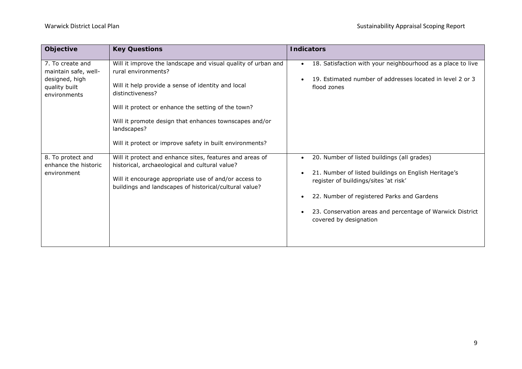| Objective                                                                                   | <b>Key Questions</b>                                                                                                                                                                                                                                                                                                                                       | <b>Indicators</b>                                                                                                                                                                                                                                                                 |
|---------------------------------------------------------------------------------------------|------------------------------------------------------------------------------------------------------------------------------------------------------------------------------------------------------------------------------------------------------------------------------------------------------------------------------------------------------------|-----------------------------------------------------------------------------------------------------------------------------------------------------------------------------------------------------------------------------------------------------------------------------------|
| 7. To create and<br>maintain safe, well-<br>designed, high<br>quality built<br>environments | Will it improve the landscape and visual quality of urban and<br>rural environments?<br>Will it help provide a sense of identity and local<br>distinctiveness?<br>Will it protect or enhance the setting of the town?<br>Will it promote design that enhances townscapes and/or<br>landscapes?<br>Will it protect or improve safety in built environments? | 18. Satisfaction with your neighbourhood as a place to live<br>19. Estimated number of addresses located in level 2 or 3<br>flood zones                                                                                                                                           |
| 8. To protect and<br>enhance the historic<br>environment                                    | Will it protect and enhance sites, features and areas of<br>historical, archaeological and cultural value?<br>Will it encourage appropriate use of and/or access to<br>buildings and landscapes of historical/cultural value?                                                                                                                              | 20. Number of listed buildings (all grades)<br>21. Number of listed buildings on English Heritage's<br>register of buildings/sites 'at risk'<br>22. Number of registered Parks and Gardens<br>23. Conservation areas and percentage of Warwick District<br>covered by designation |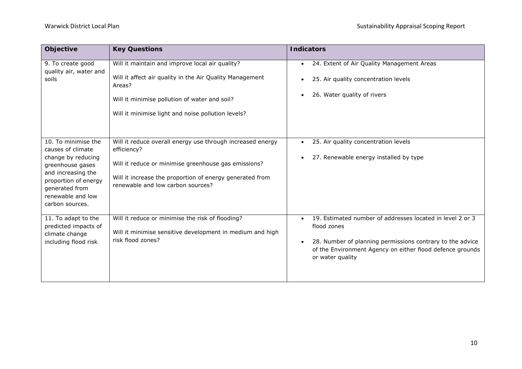| Objective                                                                                                                                                                                  | <b>Key Questions</b>                                                                                                                                                                                                               | <b>Indicators</b>                                                                                                                                                                                                      |
|--------------------------------------------------------------------------------------------------------------------------------------------------------------------------------------------|------------------------------------------------------------------------------------------------------------------------------------------------------------------------------------------------------------------------------------|------------------------------------------------------------------------------------------------------------------------------------------------------------------------------------------------------------------------|
| 9. To create good<br>quality air, water and<br>soils                                                                                                                                       | Will it maintain and improve local air quality?<br>Will it affect air quality in the Air Quality Management<br>Areas?<br>Will it minimise pollution of water and soil?<br>Will it minimise light and noise pollution levels?       | 24. Extent of Air Quality Management Areas<br>$\bullet$<br>25. Air quality concentration levels<br>26. Water quality of rivers                                                                                         |
| 10. To minimise the<br>causes of climate<br>change by reducing<br>greenhouse gases<br>and increasing the<br>proportion of energy<br>generated from<br>renewable and low<br>carbon sources. | Will it reduce overall energy use through increased energy<br>efficiency?<br>Will it reduce or minimise greenhouse gas emissions?<br>Will it increase the proportion of energy generated from<br>renewable and low carbon sources? | 25. Air quality concentration levels<br>27. Renewable energy installed by type                                                                                                                                         |
| 11. To adapt to the<br>predicted impacts of<br>climate change<br>including flood risk                                                                                                      | Will it reduce or minimise the risk of flooding?<br>Will it minimise sensitive development in medium and high<br>risk flood zones?                                                                                                 | 19. Estimated number of addresses located in level 2 or 3<br>flood zones<br>28. Number of planning permissions contrary to the advice<br>of the Environment Agency on either flood defence grounds<br>or water quality |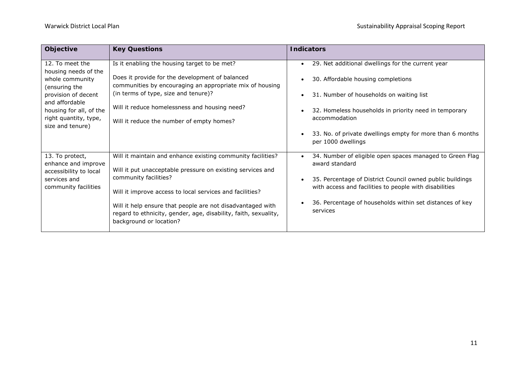| Objective                                                                                                                      | <b>Key Questions</b>                                                                                                                                     | <b>Indicators</b>                                                                                                   |
|--------------------------------------------------------------------------------------------------------------------------------|----------------------------------------------------------------------------------------------------------------------------------------------------------|---------------------------------------------------------------------------------------------------------------------|
| 12. To meet the<br>housing needs of the                                                                                        | Is it enabling the housing target to be met?                                                                                                             | 29. Net additional dwellings for the current year                                                                   |
| whole community                                                                                                                | Does it provide for the development of balanced<br>communities by encouraging an appropriate mix of housing                                              | 30. Affordable housing completions                                                                                  |
| (ensuring the<br>provision of decent<br>and affordable<br>housing for all, of the<br>right quantity, type,<br>size and tenure) | (in terms of type, size and tenure)?                                                                                                                     | 31. Number of households on waiting list                                                                            |
|                                                                                                                                | Will it reduce homelessness and housing need?                                                                                                            | 32. Homeless households in priority need in temporary                                                               |
|                                                                                                                                | Will it reduce the number of empty homes?                                                                                                                | accommodation                                                                                                       |
|                                                                                                                                |                                                                                                                                                          | 33. No. of private dwellings empty for more than 6 months<br>per 1000 dwellings                                     |
| 13. To protect,<br>enhance and improve                                                                                         | Will it maintain and enhance existing community facilities?                                                                                              | 34. Number of eligible open spaces managed to Green Flag<br>award standard                                          |
| accessibility to local                                                                                                         | Will it put unacceptable pressure on existing services and<br>community facilities?                                                                      |                                                                                                                     |
| services and<br>community facilities                                                                                           | Will it improve access to local services and facilities?                                                                                                 | 35. Percentage of District Council owned public buildings<br>with access and facilities to people with disabilities |
|                                                                                                                                | Will it help ensure that people are not disadvantaged with<br>regard to ethnicity, gender, age, disability, faith, sexuality,<br>background or location? | 36. Percentage of households within set distances of key<br>services                                                |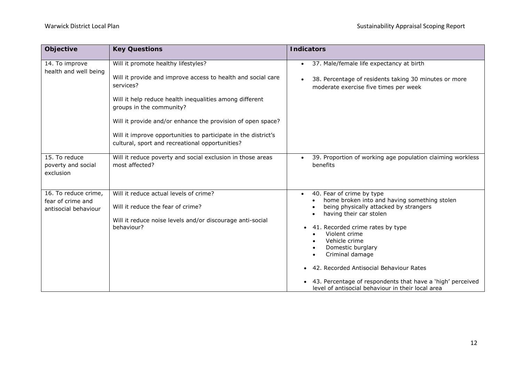| Objective                                                         | <b>Key Questions</b>                                                                                                                                                                                                                                                                                                                                                                        | <b>Indicators</b>                                                                                                                                                                                                                                                                                                                                                                                                                       |
|-------------------------------------------------------------------|---------------------------------------------------------------------------------------------------------------------------------------------------------------------------------------------------------------------------------------------------------------------------------------------------------------------------------------------------------------------------------------------|-----------------------------------------------------------------------------------------------------------------------------------------------------------------------------------------------------------------------------------------------------------------------------------------------------------------------------------------------------------------------------------------------------------------------------------------|
| 14. To improve<br>health and well being                           | Will it promote healthy lifestyles?<br>Will it provide and improve access to health and social care<br>services?<br>Will it help reduce health inequalities among different<br>groups in the community?<br>Will it provide and/or enhance the provision of open space?<br>Will it improve opportunities to participate in the district's<br>cultural, sport and recreational opportunities? | 37. Male/female life expectancy at birth<br>$\bullet$<br>38. Percentage of residents taking 30 minutes or more<br>moderate exercise five times per week                                                                                                                                                                                                                                                                                 |
| 15. To reduce<br>poverty and social<br>exclusion                  | Will it reduce poverty and social exclusion in those areas<br>most affected?                                                                                                                                                                                                                                                                                                                | 39. Proportion of working age population claiming workless<br>benefits                                                                                                                                                                                                                                                                                                                                                                  |
| 16. To reduce crime,<br>fear of crime and<br>antisocial behaviour | Will it reduce actual levels of crime?<br>Will it reduce the fear of crime?<br>Will it reduce noise levels and/or discourage anti-social<br>behaviour?                                                                                                                                                                                                                                      | 40. Fear of crime by type<br>$\bullet$<br>home broken into and having something stolen<br>being physically attacked by strangers<br>having their car stolen<br>41. Recorded crime rates by type<br>Violent crime<br>Vehicle crime<br>Domestic burglary<br>Criminal damage<br>42. Recorded Antisocial Behaviour Rates<br>43. Percentage of respondents that have a 'high' perceived<br>level of antisocial behaviour in their local area |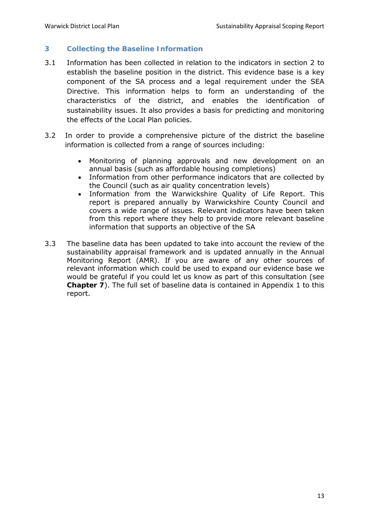# **3 Collecting the Baseline Information**

- 3.1 Information has been collected in relation to the indicators in section 2 to establish the baseline position in the district. This evidence base is a key component of the SA process and a legal requirement under the SEA Directive. This information helps to form an understanding of the characteristics of the district, and enables the identification of sustainability issues. It also provides a basis for predicting and monitoring the effects of the Local Plan policies.
- 3.2 In order to provide a comprehensive picture of the district the baseline information is collected from a range of sources including:
	- Monitoring of planning approvals and new development on an annual basis (such as *affordable housing completions*)
	- Information from other performance indicators that are collected by the Council (such as air quality concentration levels)
	- Information from the Warwickshire Quality of Life Report. This report is prepared annually by Warwickshire County Council and covers a wide range of issues. Relevant indicators have been taken from this report where they help to provide more relevant baseline information that supports an objective of the SA
- 3.3 The baseline data has been updated to take into account the review of the sustainability appraisal framework and is updated annually in the Annual Monitoring Report (AMR). If you are aware of any other sources of relevant information which could be used to expand our evidence base we would be grateful if you could let us know as part of this consultation (see **Chapter 7**). The full set of baseline data is contained in Appendix 1 to this report.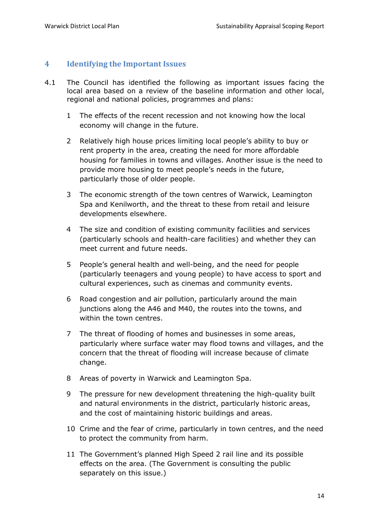# **4 Identifying the Important Issues**

- 4.1 The Council has identified the following as important issues facing the local area based on a review of the baseline information and other local, regional and national policies, programmes and plans:
	- 1 The effects of the recent recession and not knowing how the local economy will change in the future.
	- 2 Relatively high house prices limiting local people's ability to buy or rent property in the area, creating the need for more affordable housing for families in towns and villages. Another issue is the need to provide more housing to meet people's needs in the future, particularly those of older people.
	- 3 The economic strength of the town centres of Warwick, Leamington Spa and Kenilworth, and the threat to these from retail and leisure developments elsewhere.
	- 4 The size and condition of existing community facilities and services (particularly schools and health-care facilities) and whether they can meet current and future needs.
	- 5 People's general health and well-being, and the need for people (particularly teenagers and young people) to have access to sport and cultural experiences, such as cinemas and community events.
	- 6 Road congestion and air pollution, particularly around the main junctions along the A46 and M40, the routes into the towns, and within the town centres.
	- 7 The threat of flooding of homes and businesses in some areas, particularly where surface water may flood towns and villages, and the concern that the threat of flooding will increase because of climate change.
	- 8 Areas of poverty in Warwick and Leamington Spa.
	- 9 The pressure for new development threatening the high-quality built and natural environments in the district, particularly historic areas, and the cost of maintaining historic buildings and areas.
	- 10 Crime and the fear of crime, particularly in town centres, and the need to protect the community from harm.
	- 11 The Government's planned High Speed 2 rail line and its possible effects on the area. (The Government is consulting the public separately on this issue.)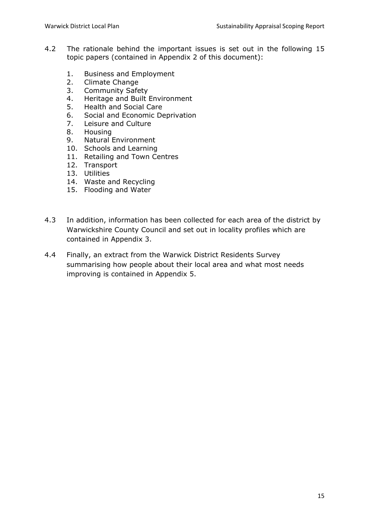- 4.2 The rationale behind the important issues is set out in the following 15 topic papers (contained in Appendix 2 of this document):
	- 1. Business and Employment
	- 2. Climate Change
	- 3. Community Safety
	- 4. Heritage and Built Environment
	- 5. Health and Social Care
	- 6. Social and Economic Deprivation
	- 7. Leisure and Culture
	- 8. Housing
	- 9. Natural Environment
	- 10. Schools and Learning
	- 11. Retailing and Town Centres
	- 12. Transport
	- 13. Utilities
	- 14. Waste and Recycling
	- 15. Flooding and Water
- 4.3 In addition, information has been collected for each area of the district by Warwickshire County Council and set out in locality profiles which are contained in Appendix 3.
- 4.4 Finally, an extract from the Warwick District Residents Survey summarising how people about their local area and what most needs improving is contained in Appendix 5.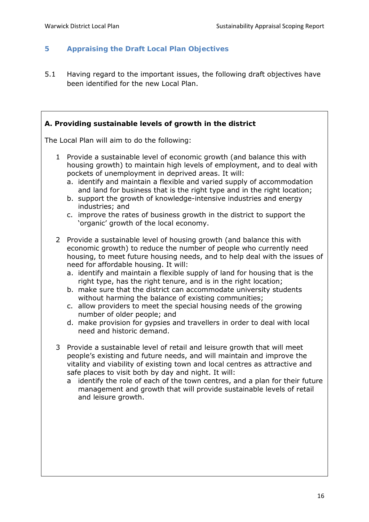# **5 Appraising the Draft Local Plan Objectives**

5.1 Having regard to the important issues, the following draft objectives have been identified for the new Local Plan.

## **A. Providing sustainable levels of growth in the district**

The Local Plan will aim to do the following:

- 1 Provide a sustainable level of economic growth (and balance this with housing growth) to maintain high levels of employment, and to deal with pockets of unemployment in deprived areas. It will:
	- a. identify and maintain a flexible and varied supply of accommodation and land for business that is the right type and in the right location;
	- b. support the growth of knowledge-intensive industries and energy industries; and
	- c. improve the rates of business growth in the district to support the 'organic' growth of the local economy.
- 2 Provide a sustainable level of housing growth (and balance this with economic growth) to reduce the number of people who currently need housing, to meet future housing needs, and to help deal with the issues of need for affordable housing. It will:
	- a. identify and maintain a flexible supply of land for housing that is the right type, has the right tenure, and is in the right location;
	- b. make sure that the district can accommodate university students without harming the balance of existing communities;
	- c. allow providers to meet the special housing needs of the growing number of older people; and
	- d. make provision for gypsies and travellers in order to deal with local need and historic demand.
- 3 Provide a sustainable level of retail and leisure growth that will meet people's existing and future needs, and will maintain and improve the vitality and viability of existing town and local centres as attractive and safe places to visit both by day and night. It will:
	- a identify the role of each of the town centres, and a plan for their future management and growth that will provide sustainable levels of retail and leisure growth.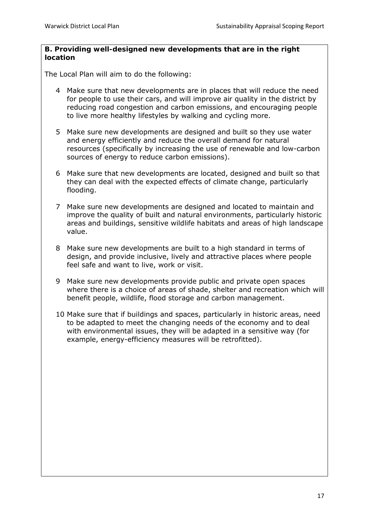#### **B. Providing well-designed new developments that are in the right location**

The Local Plan will aim to do the following:

- 4 Make sure that new developments are in places that will reduce the need for people to use their cars, and will improve air quality in the district by reducing road congestion and carbon emissions, and encouraging people to live more healthy lifestyles by walking and cycling more.
- 5 Make sure new developments are designed and built so they use water and energy efficiently and reduce the overall demand for natural resources (specifically by increasing the use of renewable and low-carbon sources of energy to reduce carbon emissions).
- 6 Make sure that new developments are located, designed and built so that they can deal with the expected effects of climate change, particularly flooding.
- 7 Make sure new developments are designed and located to maintain and improve the quality of built and natural environments, particularly historic areas and buildings, sensitive wildlife habitats and areas of high landscape value.
- 8 Make sure new developments are built to a high standard in terms of design, and provide inclusive, lively and attractive places where people feel safe and want to live, work or visit.
- 9 Make sure new developments provide public and private open spaces where there is a choice of areas of shade, shelter and recreation which will benefit people, wildlife, flood storage and carbon management.
- 10 Make sure that if buildings and spaces, particularly in historic areas, need to be adapted to meet the changing needs of the economy and to deal with environmental issues, they will be adapted in a sensitive way (for example, energy-efficiency measures will be retrofitted).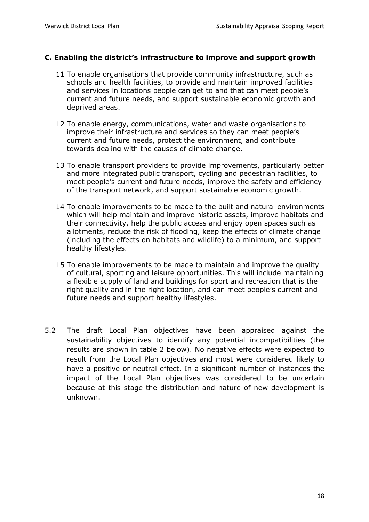# **C. Enabling the district's infrastructure to improve and support growth**

- 11 To enable organisations that provide community infrastructure, such as schools and health facilities, to provide and maintain improved facilities and services in locations people can get to and that can meet people's current and future needs, and support sustainable economic growth and deprived areas.
- 12 To enable energy, communications, water and waste organisations to improve their infrastructure and services so they can meet people's current and future needs, protect the environment, and contribute towards dealing with the causes of climate change.
- 13 To enable transport providers to provide improvements, particularly better and more integrated public transport, cycling and pedestrian facilities, to meet people's current and future needs, improve the safety and efficiency of the transport network, and support sustainable economic growth.
- 14 To enable improvements to be made to the built and natural environments which will help maintain and improve historic assets, improve habitats and their connectivity, help the public access and enjoy open spaces such as allotments, reduce the risk of flooding, keep the effects of climate change (including the effects on habitats and wildlife) to a minimum, and support healthy lifestyles.
- 15 To enable improvements to be made to maintain and improve the quality of cultural, sporting and leisure opportunities. This will include maintaining a flexible supply of land and buildings for sport and recreation that is the right quality and in the right location, and can meet people's current and future needs and support healthy lifestyles.
- 5.2 The draft Local Plan objectives have been appraised against the sustainability objectives to identify any potential incompatibilities (the results are shown in table 2 below). No negative effects were expected to result from the Local Plan objectives and most were considered likely to have a positive or neutral effect. In a significant number of instances the impact of the Local Plan objectives was considered to be uncertain because at this stage the distribution and nature of new development is unknown.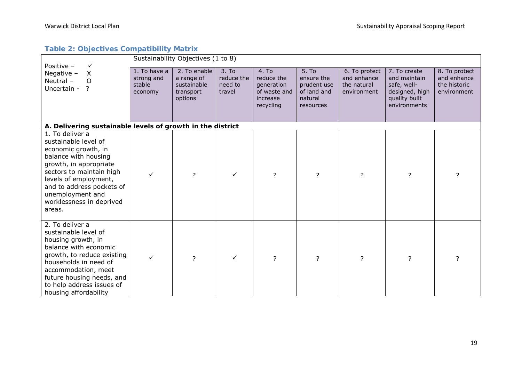# **Table 2: Objectives Compatibility Matrix**

| Positive -<br>$\checkmark$                                                                                                                                                                                                                                   | Sustainability Objectives (1 to 8)              |                                                                   |                                          |                                                                            |                                                                           |                                                            |                                                                                                |                                                             |  |  |
|--------------------------------------------------------------------------------------------------------------------------------------------------------------------------------------------------------------------------------------------------------------|-------------------------------------------------|-------------------------------------------------------------------|------------------------------------------|----------------------------------------------------------------------------|---------------------------------------------------------------------------|------------------------------------------------------------|------------------------------------------------------------------------------------------------|-------------------------------------------------------------|--|--|
| Negative -<br>X<br>Neutral -<br>$\circ$<br>?<br>Uncertain -                                                                                                                                                                                                  | 1. To have a<br>strong and<br>stable<br>economy | 2. To enable<br>a range of<br>sustainable<br>transport<br>options | 3. To<br>reduce the<br>need to<br>travel | 4. To<br>reduce the<br>generation<br>of waste and<br>increase<br>recycling | 5. To<br>ensure the<br>prudent use<br>of land and<br>natural<br>resources | 6. To protect<br>and enhance<br>the natural<br>environment | 7. To create<br>and maintain<br>safe, well-<br>designed, high<br>quality built<br>environments | 8. To protect<br>and enhance<br>the historic<br>environment |  |  |
| A. Delivering sustainable levels of growth in the district                                                                                                                                                                                                   |                                                 |                                                                   |                                          |                                                                            |                                                                           |                                                            |                                                                                                |                                                             |  |  |
| 1. To deliver a<br>sustainable level of<br>economic growth, in<br>balance with housing<br>growth, in appropriate<br>sectors to maintain high<br>levels of employment,<br>and to address pockets of<br>unemployment and<br>worklessness in deprived<br>areas. |                                                 | ?                                                                 | ✓                                        | ?                                                                          | $\overline{?}$                                                            | $\overline{?}$                                             | ?                                                                                              | 7                                                           |  |  |
| 2. To deliver a<br>sustainable level of<br>housing growth, in<br>balance with economic<br>growth, to reduce existing<br>households in need of<br>accommodation, meet<br>future housing needs, and<br>to help address issues of<br>housing affordability      | ✓                                               | ?                                                                 | $\checkmark$                             | ?                                                                          | ?                                                                         | $\overline{?}$                                             | ?                                                                                              | ?                                                           |  |  |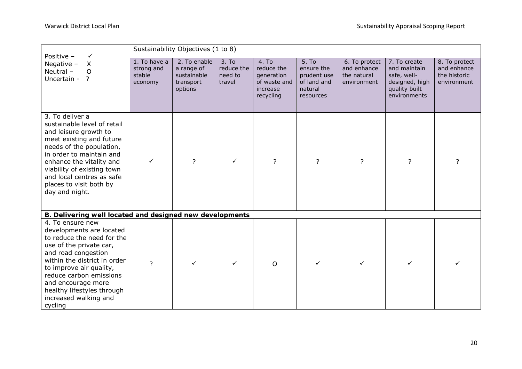| Positive -                                                                                                                                                                                                                                                                                                 | Sustainability Objectives (1 to 8)              |                                                                   |                                                      |                                                                            |                                                                                       |                                                            |                                                                                                |                                                             |  |  |
|------------------------------------------------------------------------------------------------------------------------------------------------------------------------------------------------------------------------------------------------------------------------------------------------------------|-------------------------------------------------|-------------------------------------------------------------------|------------------------------------------------------|----------------------------------------------------------------------------|---------------------------------------------------------------------------------------|------------------------------------------------------------|------------------------------------------------------------------------------------------------|-------------------------------------------------------------|--|--|
| Negative $-$<br>X<br>Neutral-<br>O<br>Uncertain -<br>$\overline{?}$                                                                                                                                                                                                                                        | 1. To have a<br>strong and<br>stable<br>economy | 2. To enable<br>a range of<br>sustainable<br>transport<br>options | 3. T <sub>o</sub><br>reduce the<br>need to<br>travel | 4. To<br>reduce the<br>generation<br>of waste and<br>increase<br>recycling | 5. T <sub>0</sub><br>ensure the<br>prudent use<br>of land and<br>natural<br>resources | 6. To protect<br>and enhance<br>the natural<br>environment | 7. To create<br>and maintain<br>safe, well-<br>designed, high<br>quality built<br>environments | 8. To protect<br>and enhance<br>the historic<br>environment |  |  |
| 3. To deliver a<br>sustainable level of retail<br>and leisure growth to<br>meet existing and future<br>needs of the population,<br>in order to maintain and<br>enhance the vitality and<br>viability of existing town<br>and local centres as safe<br>places to visit both by<br>day and night.            | ✓                                               | ?                                                                 | $\checkmark$                                         | $\overline{?}$                                                             | ?                                                                                     | $\overline{?}$                                             | $\overline{?}$                                                                                 | 2                                                           |  |  |
| B. Delivering well located and designed new developments                                                                                                                                                                                                                                                   |                                                 |                                                                   |                                                      |                                                                            |                                                                                       |                                                            |                                                                                                |                                                             |  |  |
| 4. To ensure new<br>developments are located<br>to reduce the need for the<br>use of the private car,<br>and road congestion<br>within the district in order<br>to improve air quality,<br>reduce carbon emissions<br>and encourage more<br>healthy lifestyles through<br>increased walking and<br>cycling | $\overline{?}$                                  | ✓                                                                 | ✓                                                    | O                                                                          | ✓                                                                                     | $\checkmark$                                               | ✓                                                                                              |                                                             |  |  |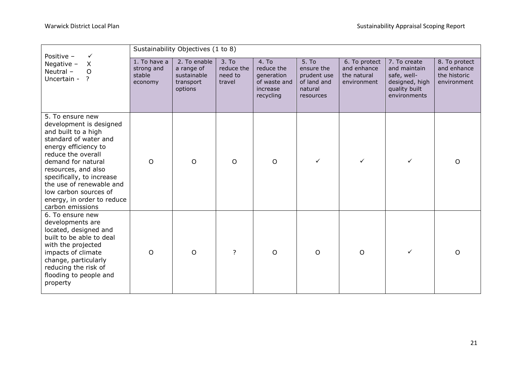| Positive -<br>✓                                                                                                                                                                                                                                                                                                            | Sustainability Objectives (1 to 8)              |                                                                   |                                                      |                                                                            |                                                                           |                                                            |                                                                                                |                                                             |  |
|----------------------------------------------------------------------------------------------------------------------------------------------------------------------------------------------------------------------------------------------------------------------------------------------------------------------------|-------------------------------------------------|-------------------------------------------------------------------|------------------------------------------------------|----------------------------------------------------------------------------|---------------------------------------------------------------------------|------------------------------------------------------------|------------------------------------------------------------------------------------------------|-------------------------------------------------------------|--|
| Negative $-$<br>X<br>Neutral -<br>$\circ$<br>Uncertain -<br>?                                                                                                                                                                                                                                                              | 1. To have a<br>strong and<br>stable<br>economy | 2. To enable<br>a range of<br>sustainable<br>transport<br>options | 3. T <sub>o</sub><br>reduce the<br>need to<br>travel | 4. To<br>reduce the<br>generation<br>of waste and<br>increase<br>recycling | 5. To<br>ensure the<br>prudent use<br>of land and<br>natural<br>resources | 6. To protect<br>and enhance<br>the natural<br>environment | 7. To create<br>and maintain<br>safe, well-<br>designed, high<br>quality built<br>environments | 8. To protect<br>and enhance<br>the historic<br>environment |  |
| 5. To ensure new<br>development is designed<br>and built to a high<br>standard of water and<br>energy efficiency to<br>reduce the overall<br>demand for natural<br>resources, and also<br>specifically, to increase<br>the use of renewable and<br>low carbon sources of<br>energy, in order to reduce<br>carbon emissions | $\circ$                                         | O                                                                 | $\circ$                                              | $\circ$                                                                    |                                                                           | $\checkmark$                                               | $\checkmark$                                                                                   | O                                                           |  |
| 6. To ensure new<br>developments are<br>located, designed and<br>built to be able to deal<br>with the projected<br>impacts of climate<br>change, particularly<br>reducing the risk of<br>flooding to people and<br>property                                                                                                | $\circ$                                         | O                                                                 | $\overline{\phantom{a}}$                             | $\circ$                                                                    | $\circ$                                                                   | $\circ$                                                    | ✓                                                                                              | $\Omega$                                                    |  |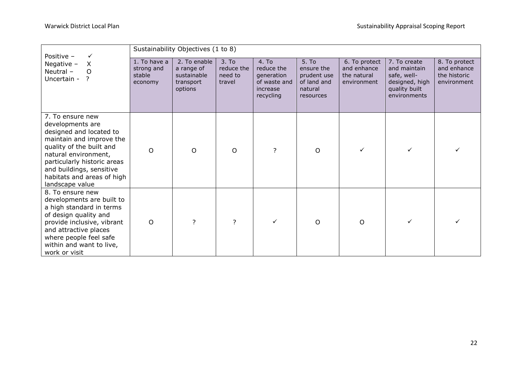| Positive -<br>✓                                                                                                                                                                                                                                             | Sustainability Objectives (1 to 8)              |                                                                   |                                          |                                                                            |                                                                           |                                                            |                                                                                                |                                                             |
|-------------------------------------------------------------------------------------------------------------------------------------------------------------------------------------------------------------------------------------------------------------|-------------------------------------------------|-------------------------------------------------------------------|------------------------------------------|----------------------------------------------------------------------------|---------------------------------------------------------------------------|------------------------------------------------------------|------------------------------------------------------------------------------------------------|-------------------------------------------------------------|
| X<br>Negative $-$<br>Neutral -<br>O<br>Uncertain - ?                                                                                                                                                                                                        | 1. To have a<br>strong and<br>stable<br>economy | 2. To enable<br>a range of<br>sustainable<br>transport<br>options | 3. To<br>reduce the<br>need to<br>travel | 4. To<br>reduce the<br>generation<br>of waste and<br>increase<br>recycling | 5. To<br>ensure the<br>prudent use<br>of land and<br>natural<br>resources | 6. To protect<br>and enhance<br>the natural<br>environment | 7. To create<br>and maintain<br>safe, well-<br>designed, high<br>quality built<br>environments | 8. To protect<br>and enhance<br>the historic<br>environment |
| 7. To ensure new<br>developments are<br>designed and located to<br>maintain and improve the<br>quality of the built and<br>natural environment,<br>particularly historic areas<br>and buildings, sensitive<br>habitats and areas of high<br>landscape value | $\circ$                                         | O                                                                 | $\Omega$                                 | 2                                                                          | O                                                                         | $\checkmark$                                               |                                                                                                |                                                             |
| 8. To ensure new<br>developments are built to<br>a high standard in terms<br>of design quality and<br>provide inclusive, vibrant<br>and attractive places<br>where people feel safe<br>within and want to live,<br>work or visit                            | O                                               | 7                                                                 | 7                                        |                                                                            | O                                                                         | $\circ$                                                    |                                                                                                |                                                             |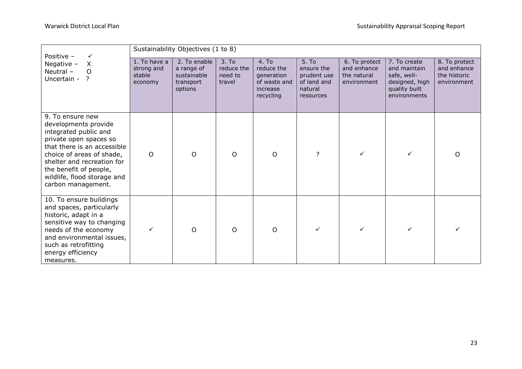| Positive -<br>✓                                                                                                                                                                                                                                                      | Sustainability Objectives (1 to 8)              |                                                                   |                                                      |                                                                            |                                                                           |                                                            |                                                                                                |                                                             |  |
|----------------------------------------------------------------------------------------------------------------------------------------------------------------------------------------------------------------------------------------------------------------------|-------------------------------------------------|-------------------------------------------------------------------|------------------------------------------------------|----------------------------------------------------------------------------|---------------------------------------------------------------------------|------------------------------------------------------------|------------------------------------------------------------------------------------------------|-------------------------------------------------------------|--|
| Negative -<br>X<br>Neutral -<br>$\circ$<br>Uncertain -<br>?                                                                                                                                                                                                          | 1. To have a<br>strong and<br>stable<br>economy | 2. To enable<br>a range of<br>sustainable<br>transport<br>options | 3. T <sub>0</sub><br>reduce the<br>need to<br>travel | 4. To<br>reduce the<br>generation<br>of waste and<br>increase<br>recycling | 5. To<br>ensure the<br>prudent use<br>of land and<br>natural<br>resources | 6. To protect<br>and enhance<br>the natural<br>environment | 7. To create<br>and maintain<br>safe, well-<br>designed, high<br>quality built<br>environments | 8. To protect<br>and enhance<br>the historic<br>environment |  |
| 9. To ensure new<br>developments provide<br>integrated public and<br>private open spaces so<br>that there is an accessible<br>choice of areas of shade,<br>shelter and recreation for<br>the benefit of people,<br>wildlife, flood storage and<br>carbon management. | $\circ$                                         | O                                                                 | $\circ$                                              | O                                                                          | 7                                                                         |                                                            |                                                                                                | O                                                           |  |
| 10. To ensure buildings<br>and spaces, particularly<br>historic, adapt in a<br>sensitive way to changing<br>needs of the economy<br>and environmental issues,<br>such as retrofitting<br>energy efficiency<br>measures.                                              | ✓                                               | O                                                                 | $\circ$                                              | O                                                                          |                                                                           | $\checkmark$                                               |                                                                                                |                                                             |  |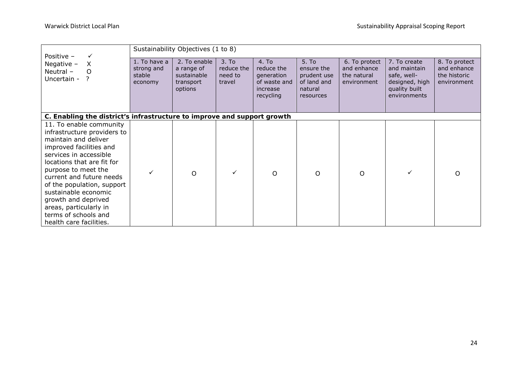| Positive -<br>✓                                                                                                                                                                                                                                                                                                                                                                | Sustainability Objectives (1 to 8)              |                                                                   |                                          |                                                                            |                                                                           |                                                            |                                                                                                |                                                             |
|--------------------------------------------------------------------------------------------------------------------------------------------------------------------------------------------------------------------------------------------------------------------------------------------------------------------------------------------------------------------------------|-------------------------------------------------|-------------------------------------------------------------------|------------------------------------------|----------------------------------------------------------------------------|---------------------------------------------------------------------------|------------------------------------------------------------|------------------------------------------------------------------------------------------------|-------------------------------------------------------------|
| Negative $-$<br>X<br>Neutral -<br>O<br>Uncertain -<br>2                                                                                                                                                                                                                                                                                                                        | 1. To have a<br>strong and<br>stable<br>economy | 2. To enable<br>a range of<br>sustainable<br>transport<br>options | 3. To<br>reduce the<br>need to<br>travel | 4. To<br>reduce the<br>generation<br>of waste and<br>increase<br>recycling | 5. To<br>ensure the<br>prudent use<br>of land and<br>natural<br>resources | 6. To protect<br>and enhance<br>the natural<br>environment | 7. To create<br>and maintain<br>safe, well-<br>designed, high<br>quality built<br>environments | 8. To protect<br>and enhance<br>the historic<br>environment |
| C. Enabling the district's infrastructure to improve and support growth                                                                                                                                                                                                                                                                                                        |                                                 |                                                                   |                                          |                                                                            |                                                                           |                                                            |                                                                                                |                                                             |
| 11. To enable community<br>infrastructure providers to<br>maintain and deliver<br>improved facilities and<br>services in accessible<br>locations that are fit for<br>purpose to meet the<br>current and future needs<br>of the population, support<br>sustainable economic<br>growth and deprived<br>areas, particularly in<br>terms of schools and<br>health care facilities. | ✓                                               | O                                                                 | $\checkmark$                             | O                                                                          | $\Omega$                                                                  | O                                                          | ✓                                                                                              | ∩                                                           |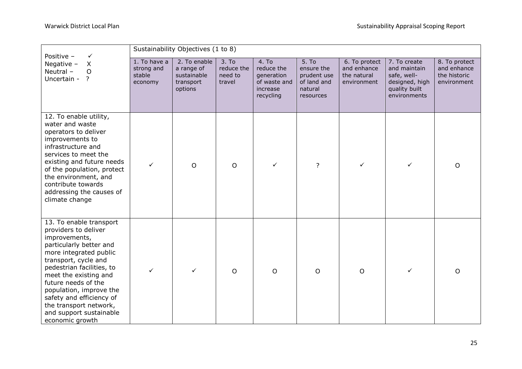| Positive -<br>$\checkmark$                                                                                                                                                                                                                                                                                                                                | Sustainability Objectives (1 to 8)              |                                                                   |                                          |                                                                            |                                                                           |                                                            |                                                                                                |                                                             |  |  |
|-----------------------------------------------------------------------------------------------------------------------------------------------------------------------------------------------------------------------------------------------------------------------------------------------------------------------------------------------------------|-------------------------------------------------|-------------------------------------------------------------------|------------------------------------------|----------------------------------------------------------------------------|---------------------------------------------------------------------------|------------------------------------------------------------|------------------------------------------------------------------------------------------------|-------------------------------------------------------------|--|--|
| Negative $-$<br>X<br>Neutral -<br>$\mathsf O$<br>Uncertain -<br>$\overline{?}$                                                                                                                                                                                                                                                                            | 1. To have a<br>strong and<br>stable<br>economy | 2. To enable<br>a range of<br>sustainable<br>transport<br>options | 3. To<br>reduce the<br>need to<br>travel | 4. To<br>reduce the<br>generation<br>of waste and<br>increase<br>recycling | 5. To<br>ensure the<br>prudent use<br>of land and<br>natural<br>resources | 6. To protect<br>and enhance<br>the natural<br>environment | 7. To create<br>and maintain<br>safe, well-<br>designed, high<br>quality built<br>environments | 8. To protect<br>and enhance<br>the historic<br>environment |  |  |
| 12. To enable utility,<br>water and waste<br>operators to deliver<br>improvements to<br>infrastructure and<br>services to meet the<br>existing and future needs<br>of the population, protect<br>the environment, and<br>contribute towards<br>addressing the causes of<br>climate change                                                                 | ✓                                               | $\circ$                                                           | $\circ$                                  | ✓                                                                          | ?                                                                         | $\checkmark$                                               | $\checkmark$                                                                                   | O                                                           |  |  |
| 13. To enable transport<br>providers to deliver<br>improvements,<br>particularly better and<br>more integrated public<br>transport, cycle and<br>pedestrian facilities, to<br>meet the existing and<br>future needs of the<br>population, improve the<br>safety and efficiency of<br>the transport network,<br>and support sustainable<br>economic growth | $\checkmark$                                    | ✓                                                                 | $\circ$                                  | $\circ$                                                                    | $\circ$                                                                   | $\circ$                                                    | ✓                                                                                              | $\circ$                                                     |  |  |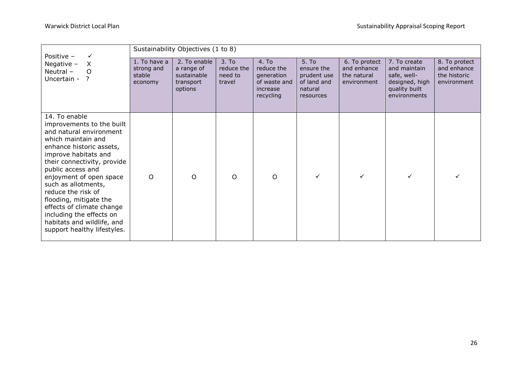| Positive -<br>$\checkmark$                                                                                                                                                                                                                                                                                                                                                                                 |                                                 | Sustainability Objectives (1 to 8)                                |                                                      |                                                                            |                                                                           |                                                            |                                                                                                |                                                             |
|------------------------------------------------------------------------------------------------------------------------------------------------------------------------------------------------------------------------------------------------------------------------------------------------------------------------------------------------------------------------------------------------------------|-------------------------------------------------|-------------------------------------------------------------------|------------------------------------------------------|----------------------------------------------------------------------------|---------------------------------------------------------------------------|------------------------------------------------------------|------------------------------------------------------------------------------------------------|-------------------------------------------------------------|
| Negative $-$<br>X<br>Neutral -<br>$\circ$<br>Uncertain - ?<br>14. To enable                                                                                                                                                                                                                                                                                                                                | 1. To have a<br>strong and<br>stable<br>economy | 2. To enable<br>a range of<br>sustainable<br>transport<br>options | 3. T <sub>0</sub><br>reduce the<br>need to<br>travel | 4. To<br>reduce the<br>generation<br>of waste and<br>increase<br>recycling | 5. To<br>ensure the<br>prudent use<br>of land and<br>natural<br>resources | 6. To protect<br>and enhance<br>the natural<br>environment | 7. To create<br>and maintain<br>safe, well-<br>designed, high<br>quality built<br>environments | 8. To protect<br>and enhance<br>the historic<br>environment |
| improvements to the built<br>and natural environment<br>which maintain and<br>enhance historic assets,<br>improve habitats and<br>their connectivity, provide<br>public access and<br>enjoyment of open space<br>such as allotments,<br>reduce the risk of<br>flooding, mitigate the<br>effects of climate change<br>including the effects on<br>habitats and wildlife, and<br>support healthy lifestyles. | $\Omega$                                        | $\Omega$                                                          | $\Omega$                                             | $\Omega$                                                                   |                                                                           | ✓                                                          | $\checkmark$                                                                                   |                                                             |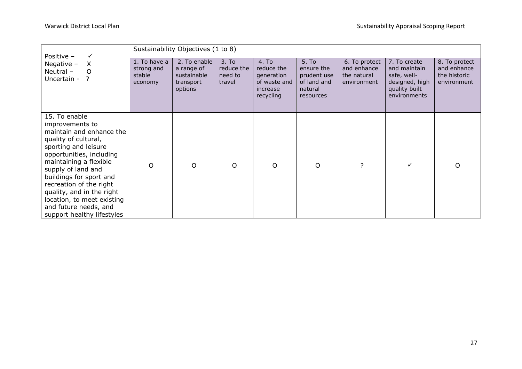| Positive -<br>$\checkmark$                                                                                                                                                                                                                                                                                                                                       |                                                 | Sustainability Objectives (1 to 8)                                |                                                      |                                                                            |                                                                           |                                                            |                                                                                                |                                                             |
|------------------------------------------------------------------------------------------------------------------------------------------------------------------------------------------------------------------------------------------------------------------------------------------------------------------------------------------------------------------|-------------------------------------------------|-------------------------------------------------------------------|------------------------------------------------------|----------------------------------------------------------------------------|---------------------------------------------------------------------------|------------------------------------------------------------|------------------------------------------------------------------------------------------------|-------------------------------------------------------------|
| X<br>Negative $-$<br>Neutral $-$<br>$\circ$<br>Uncertain - ?                                                                                                                                                                                                                                                                                                     | 1. To have a<br>strong and<br>stable<br>economy | 2. To enable<br>a range of<br>sustainable<br>transport<br>options | 3. T <sub>0</sub><br>reduce the<br>need to<br>travel | 4. To<br>reduce the<br>generation<br>of waste and<br>increase<br>recycling | 5. To<br>ensure the<br>prudent use<br>of land and<br>natural<br>resources | 6. To protect<br>and enhance<br>the natural<br>environment | 7. To create<br>and maintain<br>safe, well-<br>designed, high<br>quality built<br>environments | 8. To protect<br>and enhance<br>the historic<br>environment |
| 15. To enable<br>improvements to<br>maintain and enhance the<br>quality of cultural,<br>sporting and leisure<br>opportunities, including<br>maintaining a flexible<br>supply of land and<br>buildings for sport and<br>recreation of the right<br>quality, and in the right<br>location, to meet existing<br>and future needs, and<br>support healthy lifestyles | $\Omega$                                        | O                                                                 | $\circ$                                              | O                                                                          | $\circ$                                                                   | $\overline{?}$                                             | ✓                                                                                              | $\Omega$                                                    |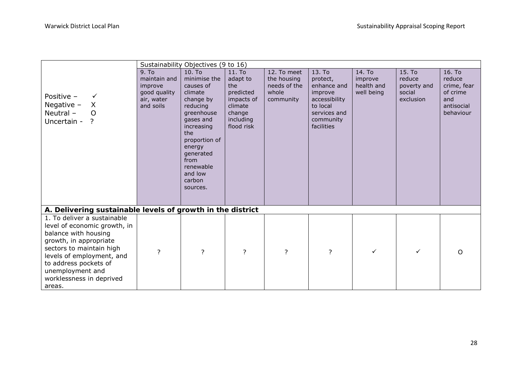|                                                            |                   | Sustainability Objectives (9 to 16) |                         |                |                         |            |             |             |
|------------------------------------------------------------|-------------------|-------------------------------------|-------------------------|----------------|-------------------------|------------|-------------|-------------|
|                                                            | 9. T <sub>0</sub> | 10. To                              | 11. To                  | 12. To meet    | 13. To                  | 14. To     | 15. To      | 16. To      |
|                                                            | maintain and      | minimise the                        | adapt to                | the housing    | protect,                | improve    | reduce      | reduce      |
|                                                            | improve           | causes of                           | the                     | needs of the   | enhance and             | health and | poverty and | crime, fear |
| Positive -<br>$\checkmark$                                 | good quality      | climate                             | predicted               | whole          | improve                 | well being | social      | of crime    |
|                                                            | air, water        | change by                           | impacts of              | community      | accessibility           |            | exclusion   | and         |
| Negative $-$<br>$\sf X$                                    | and soils         | reducing                            | climate                 |                | to local                |            |             | antisocial  |
| Neutral -<br>$\overline{O}$                                |                   | greenhouse                          | change                  |                | services and            |            |             | behaviour   |
| Uncertain - ?                                              |                   | gases and<br>increasing             | including<br>flood risk |                | community<br>facilities |            |             |             |
|                                                            |                   | the                                 |                         |                |                         |            |             |             |
|                                                            |                   | proportion of                       |                         |                |                         |            |             |             |
|                                                            |                   | energy                              |                         |                |                         |            |             |             |
|                                                            |                   | generated                           |                         |                |                         |            |             |             |
|                                                            |                   | from                                |                         |                |                         |            |             |             |
|                                                            |                   | renewable                           |                         |                |                         |            |             |             |
|                                                            |                   | and low                             |                         |                |                         |            |             |             |
|                                                            |                   | carbon                              |                         |                |                         |            |             |             |
|                                                            |                   | sources.                            |                         |                |                         |            |             |             |
|                                                            |                   |                                     |                         |                |                         |            |             |             |
| A. Delivering sustainable levels of growth in the district |                   |                                     |                         |                |                         |            |             |             |
| 1. To deliver a sustainable                                |                   |                                     |                         |                |                         |            |             |             |
| level of economic growth, in                               |                   |                                     |                         |                |                         |            |             |             |
| balance with housing                                       |                   |                                     |                         |                |                         |            |             |             |
| growth, in appropriate                                     |                   |                                     |                         |                |                         |            |             |             |
| sectors to maintain high                                   |                   |                                     |                         |                |                         | ✓          | ✓           |             |
| levels of employment, and                                  | ?                 | ?                                   | $\overline{?}$          | $\overline{?}$ | ?                       |            |             | $\Omega$    |
| to address pockets of                                      |                   |                                     |                         |                |                         |            |             |             |
| unemployment and                                           |                   |                                     |                         |                |                         |            |             |             |
| worklessness in deprived                                   |                   |                                     |                         |                |                         |            |             |             |
| areas.                                                     |                   |                                     |                         |                |                         |            |             |             |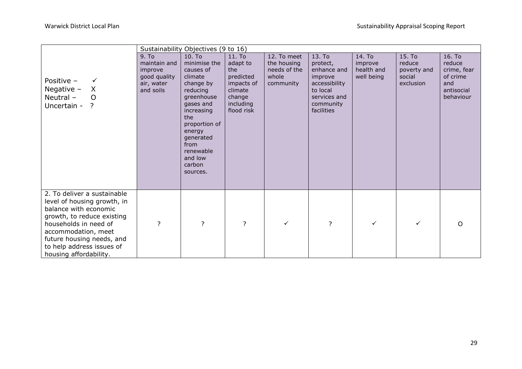|                                                                                                                                                                                                                                                       |                                                                             | Sustainability Objectives (9 to 16)                                                                                                                                                                                   |                                                                                                      |                                                                  |                                                                                                                      |                                               |                                                        |                                                                               |
|-------------------------------------------------------------------------------------------------------------------------------------------------------------------------------------------------------------------------------------------------------|-----------------------------------------------------------------------------|-----------------------------------------------------------------------------------------------------------------------------------------------------------------------------------------------------------------------|------------------------------------------------------------------------------------------------------|------------------------------------------------------------------|----------------------------------------------------------------------------------------------------------------------|-----------------------------------------------|--------------------------------------------------------|-------------------------------------------------------------------------------|
| Positive -<br>$\checkmark$<br>Negative $-$<br>$\mathsf{X}$<br>Neutral-<br>$\circ$<br>Uncertain - ?                                                                                                                                                    | 9. To<br>maintain and<br>improve<br>good quality<br>air, water<br>and soils | 10. To<br>minimise the<br>causes of<br>climate<br>change by<br>reducing<br>greenhouse<br>gases and<br>increasing<br>the<br>proportion of<br>energy<br>generated<br>from<br>renewable<br>and low<br>carbon<br>sources. | 11. To<br>adapt to<br>the<br>predicted<br>impacts of<br>climate<br>change<br>including<br>flood risk | 12. To meet<br>the housing<br>needs of the<br>whole<br>community | 13. To<br>protect,<br>enhance and<br>improve<br>accessibility<br>to local<br>services and<br>community<br>facilities | 14. To<br>improve<br>health and<br>well being | 15. To<br>reduce<br>poverty and<br>social<br>exclusion | 16. To<br>reduce<br>crime, fear<br>of crime<br>and<br>antisocial<br>behaviour |
| 2. To deliver a sustainable<br>level of housing growth, in<br>balance with economic<br>growth, to reduce existing<br>households in need of<br>accommodation, meet<br>future housing needs, and<br>to help address issues of<br>housing affordability. | ?                                                                           | ?                                                                                                                                                                                                                     | ?                                                                                                    | ✓                                                                | $\overline{?}$                                                                                                       | $\checkmark$                                  | ✓                                                      | O                                                                             |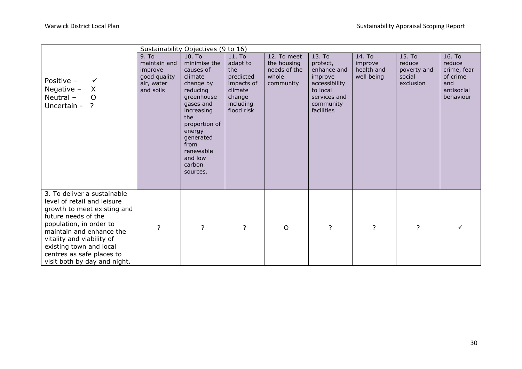|                                                                                                                                                                                                                                                                                              |                                                                             | Sustainability Objectives (9 to 16)                                                                                                                                                                                   |                                                                                                      |                                                                  |                                                                                                                      |                                               |                                                        |                                                                               |
|----------------------------------------------------------------------------------------------------------------------------------------------------------------------------------------------------------------------------------------------------------------------------------------------|-----------------------------------------------------------------------------|-----------------------------------------------------------------------------------------------------------------------------------------------------------------------------------------------------------------------|------------------------------------------------------------------------------------------------------|------------------------------------------------------------------|----------------------------------------------------------------------------------------------------------------------|-----------------------------------------------|--------------------------------------------------------|-------------------------------------------------------------------------------|
| Positive -<br>✓<br>$\mathsf{X}$<br>Negative $-$<br>Neutral-<br>$\circ$<br>Uncertain -<br>$\ddot{ }$                                                                                                                                                                                          | 9. To<br>maintain and<br>improve<br>good quality<br>air, water<br>and soils | 10. To<br>minimise the<br>causes of<br>climate<br>change by<br>reducing<br>greenhouse<br>gases and<br>increasing<br>the<br>proportion of<br>energy<br>generated<br>from<br>renewable<br>and low<br>carbon<br>sources. | 11. To<br>adapt to<br>the<br>predicted<br>impacts of<br>climate<br>change<br>including<br>flood risk | 12. To meet<br>the housing<br>needs of the<br>whole<br>community | 13. To<br>protect,<br>enhance and<br>improve<br>accessibility<br>to local<br>services and<br>community<br>facilities | 14. To<br>improve<br>health and<br>well being | 15. To<br>reduce<br>poverty and<br>social<br>exclusion | 16. To<br>reduce<br>crime, fear<br>of crime<br>and<br>antisocial<br>behaviour |
| 3. To deliver a sustainable<br>level of retail and leisure<br>growth to meet existing and<br>future needs of the<br>population, in order to<br>maintain and enhance the<br>vitality and viability of<br>existing town and local<br>centres as safe places to<br>visit both by day and night. | ?                                                                           | ?                                                                                                                                                                                                                     | ?                                                                                                    | $\circ$                                                          | $\overline{?}$                                                                                                       | ?                                             | ?                                                      |                                                                               |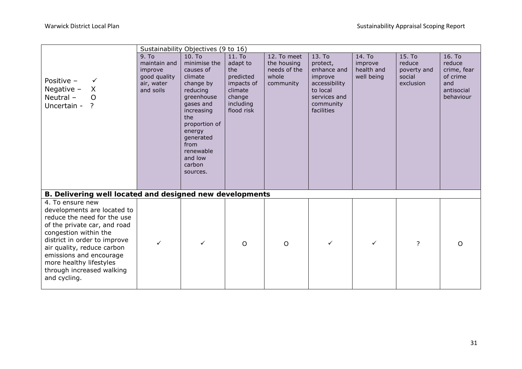|                                                                                                                                                                                                                                                                                                          |                                                                             | Sustainability Objectives (9 to 16)                                                                                                                                                                                   |                                                                                                      |                                                                  |                                                                                                                      |                                               |                                                        |                                                                               |
|----------------------------------------------------------------------------------------------------------------------------------------------------------------------------------------------------------------------------------------------------------------------------------------------------------|-----------------------------------------------------------------------------|-----------------------------------------------------------------------------------------------------------------------------------------------------------------------------------------------------------------------|------------------------------------------------------------------------------------------------------|------------------------------------------------------------------|----------------------------------------------------------------------------------------------------------------------|-----------------------------------------------|--------------------------------------------------------|-------------------------------------------------------------------------------|
| Positive -<br>$\checkmark$<br>Negative $-$<br>X<br>Neutral-<br>$\Omega$<br>Uncertain - ?                                                                                                                                                                                                                 | 9. To<br>maintain and<br>improve<br>good quality<br>air, water<br>and soils | 10. To<br>minimise the<br>causes of<br>climate<br>change by<br>reducing<br>greenhouse<br>gases and<br>increasing<br>the<br>proportion of<br>energy<br>generated<br>from<br>renewable<br>and low<br>carbon<br>sources. | 11. To<br>adapt to<br>the<br>predicted<br>impacts of<br>climate<br>change<br>including<br>flood risk | 12. To meet<br>the housing<br>needs of the<br>whole<br>community | 13. To<br>protect,<br>enhance and<br>improve<br>accessibility<br>to local<br>services and<br>community<br>facilities | 14. To<br>improve<br>health and<br>well being | 15. To<br>reduce<br>poverty and<br>social<br>exclusion | 16. To<br>reduce<br>crime, fear<br>of crime<br>and<br>antisocial<br>behaviour |
| B. Delivering well located and designed new developments                                                                                                                                                                                                                                                 |                                                                             |                                                                                                                                                                                                                       |                                                                                                      |                                                                  |                                                                                                                      |                                               |                                                        |                                                                               |
| 4. To ensure new<br>developments are located to<br>reduce the need for the use<br>of the private car, and road<br>congestion within the<br>district in order to improve<br>air quality, reduce carbon<br>emissions and encourage<br>more healthy lifestyles<br>through increased walking<br>and cycling. | ✓                                                                           | $\checkmark$                                                                                                                                                                                                          | $\circ$                                                                                              | O                                                                | ✓                                                                                                                    | $\checkmark$                                  | ?                                                      | $\Omega$                                                                      |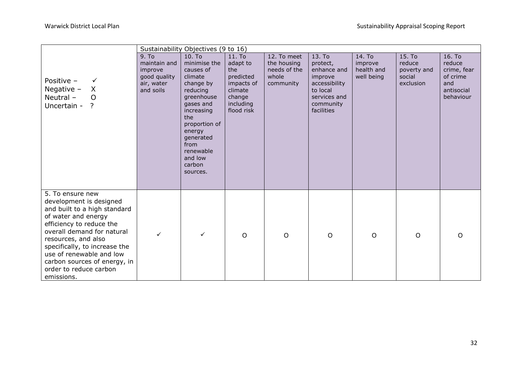|                                                                                                                                                                                                                                                                                                                          |                                                                             | Sustainability Objectives (9 to 16)                                                                                                                                                                                   |                                                                                                      |                                                                  |                                                                                                                      |                                               |                                                        |                                                                               |
|--------------------------------------------------------------------------------------------------------------------------------------------------------------------------------------------------------------------------------------------------------------------------------------------------------------------------|-----------------------------------------------------------------------------|-----------------------------------------------------------------------------------------------------------------------------------------------------------------------------------------------------------------------|------------------------------------------------------------------------------------------------------|------------------------------------------------------------------|----------------------------------------------------------------------------------------------------------------------|-----------------------------------------------|--------------------------------------------------------|-------------------------------------------------------------------------------|
| Positive -<br>$\checkmark$<br>Negative $-$<br>X<br>Neutral -<br>$\overline{O}$<br>Uncertain - ?                                                                                                                                                                                                                          | 9. To<br>maintain and<br>improve<br>good quality<br>air, water<br>and soils | 10. To<br>minimise the<br>causes of<br>climate<br>change by<br>reducing<br>greenhouse<br>gases and<br>increasing<br>the<br>proportion of<br>energy<br>generated<br>from<br>renewable<br>and low<br>carbon<br>sources. | 11. To<br>adapt to<br>the<br>predicted<br>impacts of<br>climate<br>change<br>including<br>flood risk | 12. To meet<br>the housing<br>needs of the<br>whole<br>community | 13. To<br>protect,<br>enhance and<br>improve<br>accessibility<br>to local<br>services and<br>community<br>facilities | 14. To<br>improve<br>health and<br>well being | 15. To<br>reduce<br>poverty and<br>social<br>exclusion | 16. To<br>reduce<br>crime, fear<br>of crime<br>and<br>antisocial<br>behaviour |
| 5. To ensure new<br>development is designed<br>and built to a high standard<br>of water and energy<br>efficiency to reduce the<br>overall demand for natural<br>resources, and also<br>specifically, to increase the<br>use of renewable and low<br>carbon sources of energy, in<br>order to reduce carbon<br>emissions. |                                                                             | $\checkmark$                                                                                                                                                                                                          | $\circ$                                                                                              | $\circ$                                                          | $\circ$                                                                                                              | $\circ$                                       | $\circ$                                                | $\Omega$                                                                      |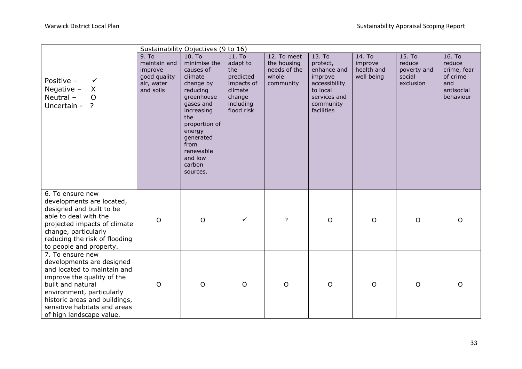|                                                                                                                                                                                                                                                           |                                                                             | Sustainability Objectives (9 to 16)                                                                                                                                                                                   |                                                                                                      |                                                                  |                                                                                                                      |                                               |                                                        |                                                                               |
|-----------------------------------------------------------------------------------------------------------------------------------------------------------------------------------------------------------------------------------------------------------|-----------------------------------------------------------------------------|-----------------------------------------------------------------------------------------------------------------------------------------------------------------------------------------------------------------------|------------------------------------------------------------------------------------------------------|------------------------------------------------------------------|----------------------------------------------------------------------------------------------------------------------|-----------------------------------------------|--------------------------------------------------------|-------------------------------------------------------------------------------|
| Positive -<br>$\checkmark$<br>Negative $-$<br>X<br>Neutral-<br>$\overline{O}$<br>Uncertain - ?                                                                                                                                                            | 9. To<br>maintain and<br>improve<br>good quality<br>air, water<br>and soils | 10. To<br>minimise the<br>causes of<br>climate<br>change by<br>reducing<br>greenhouse<br>gases and<br>increasing<br>the<br>proportion of<br>energy<br>generated<br>from<br>renewable<br>and low<br>carbon<br>sources. | 11. To<br>adapt to<br>the<br>predicted<br>impacts of<br>climate<br>change<br>including<br>flood risk | 12. To meet<br>the housing<br>needs of the<br>whole<br>community | 13. To<br>protect,<br>enhance and<br>improve<br>accessibility<br>to local<br>services and<br>community<br>facilities | 14. To<br>improve<br>health and<br>well being | 15. To<br>reduce<br>poverty and<br>social<br>exclusion | 16. To<br>reduce<br>crime, fear<br>of crime<br>and<br>antisocial<br>behaviour |
| 6. To ensure new<br>developments are located,<br>designed and built to be<br>able to deal with the<br>projected impacts of climate<br>change, particularly<br>reducing the risk of flooding<br>to people and property.                                    | $\circ$                                                                     | $\circ$                                                                                                                                                                                                               | $\checkmark$                                                                                         | $\overline{?}$                                                   | $\circ$                                                                                                              | $\circ$                                       | $\circ$                                                | O                                                                             |
| 7. To ensure new<br>developments are designed<br>and located to maintain and<br>improve the quality of the<br>built and natural<br>environment, particularly<br>historic areas and buildings,<br>sensitive habitats and areas<br>of high landscape value. | $\circ$                                                                     | $\circ$                                                                                                                                                                                                               | $\circ$                                                                                              | $\circ$                                                          | $\circ$                                                                                                              | $\circ$                                       | $\circ$                                                | $\circ$                                                                       |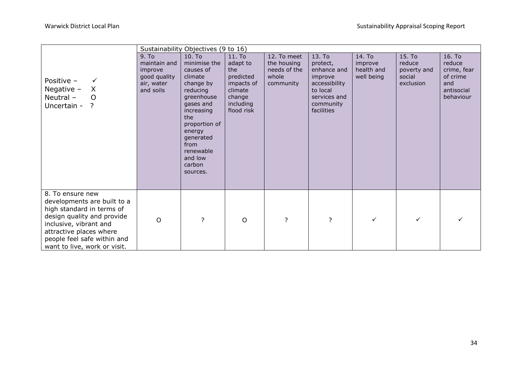|                                                                                                                                                                                                                                |                                                                                         | Sustainability Objectives (9 to 16)                                                                                                                                                                                   |                                                                                                      |                                                                  |                                                                                                                      |                                               |                                                        |                                                                               |
|--------------------------------------------------------------------------------------------------------------------------------------------------------------------------------------------------------------------------------|-----------------------------------------------------------------------------------------|-----------------------------------------------------------------------------------------------------------------------------------------------------------------------------------------------------------------------|------------------------------------------------------------------------------------------------------|------------------------------------------------------------------|----------------------------------------------------------------------------------------------------------------------|-----------------------------------------------|--------------------------------------------------------|-------------------------------------------------------------------------------|
| Positive -<br>$\checkmark$<br>Negative $-$<br>$\mathsf{X}$<br>Neutral -<br>$\circ$<br>Uncertain - ?                                                                                                                            | 9. T <sub>0</sub><br>maintain and<br>improve<br>good quality<br>air, water<br>and soils | 10. To<br>minimise the<br>causes of<br>climate<br>change by<br>reducing<br>greenhouse<br>gases and<br>increasing<br>the<br>proportion of<br>energy<br>generated<br>from<br>renewable<br>and low<br>carbon<br>sources. | 11. To<br>adapt to<br>the<br>predicted<br>impacts of<br>climate<br>change<br>including<br>flood risk | 12. To meet<br>the housing<br>needs of the<br>whole<br>community | 13. To<br>protect,<br>enhance and<br>improve<br>accessibility<br>to local<br>services and<br>community<br>facilities | 14. To<br>improve<br>health and<br>well being | 15. To<br>reduce<br>poverty and<br>social<br>exclusion | 16. To<br>reduce<br>crime, fear<br>of crime<br>and<br>antisocial<br>behaviour |
| 8. To ensure new<br>developments are built to a<br>high standard in terms of<br>design quality and provide<br>inclusive, vibrant and<br>attractive places where<br>people feel safe within and<br>want to live, work or visit. | $\circ$                                                                                 | ?                                                                                                                                                                                                                     | $\circ$                                                                                              | $\overline{?}$                                                   | $\overline{?}$                                                                                                       | $\checkmark$                                  | ✓                                                      |                                                                               |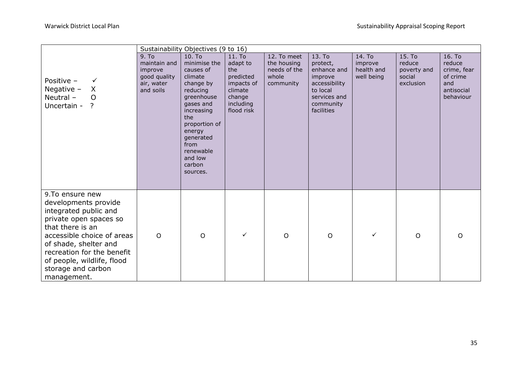|                                                                                                                                                                                                                                                                        |                                                                             | Sustainability Objectives (9 to 16)                                                                                                                                                                                   |                                                                                                      |                                                                  |                                                                                                                      |                                               |                                                        |                                                                               |
|------------------------------------------------------------------------------------------------------------------------------------------------------------------------------------------------------------------------------------------------------------------------|-----------------------------------------------------------------------------|-----------------------------------------------------------------------------------------------------------------------------------------------------------------------------------------------------------------------|------------------------------------------------------------------------------------------------------|------------------------------------------------------------------|----------------------------------------------------------------------------------------------------------------------|-----------------------------------------------|--------------------------------------------------------|-------------------------------------------------------------------------------|
| Positive -<br>$\checkmark$<br>Negative $-$<br>$\mathsf{X}$<br>Neutral-<br>$\Omega$<br>Uncertain - ?                                                                                                                                                                    | 9. To<br>maintain and<br>improve<br>good quality<br>air, water<br>and soils | 10. To<br>minimise the<br>causes of<br>climate<br>change by<br>reducing<br>greenhouse<br>gases and<br>increasing<br>the<br>proportion of<br>energy<br>generated<br>from<br>renewable<br>and low<br>carbon<br>sources. | 11. To<br>adapt to<br>the<br>predicted<br>impacts of<br>climate<br>change<br>including<br>flood risk | 12. To meet<br>the housing<br>needs of the<br>whole<br>community | 13. To<br>protect,<br>enhance and<br>improve<br>accessibility<br>to local<br>services and<br>community<br>facilities | 14. To<br>improve<br>health and<br>well being | 15. To<br>reduce<br>poverty and<br>social<br>exclusion | 16. To<br>reduce<br>crime, fear<br>of crime<br>and<br>antisocial<br>behaviour |
| 9.To ensure new<br>developments provide<br>integrated public and<br>private open spaces so<br>that there is an<br>accessible choice of areas<br>of shade, shelter and<br>recreation for the benefit<br>of people, wildlife, flood<br>storage and carbon<br>management. | $\circ$                                                                     | $\circ$                                                                                                                                                                                                               | $\checkmark$                                                                                         | $\mathsf{O}$                                                     | $\circ$                                                                                                              | $\checkmark$                                  | O                                                      | $\Omega$                                                                      |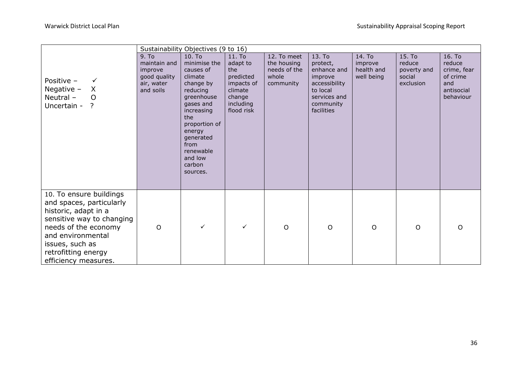|                                                                                                                                                                                                                         |                                                                             | Sustainability Objectives (9 to 16)                                                                                                                                                                                   |                                                                                                      |                                                                  |                                                                                                                      |                                               |                                                        |                                                                               |
|-------------------------------------------------------------------------------------------------------------------------------------------------------------------------------------------------------------------------|-----------------------------------------------------------------------------|-----------------------------------------------------------------------------------------------------------------------------------------------------------------------------------------------------------------------|------------------------------------------------------------------------------------------------------|------------------------------------------------------------------|----------------------------------------------------------------------------------------------------------------------|-----------------------------------------------|--------------------------------------------------------|-------------------------------------------------------------------------------|
| Positive -<br>✓<br>Negative $-$<br>$\mathsf{X}$<br>Neutral-<br>$\circ$<br>Uncertain - ?                                                                                                                                 | 9. To<br>maintain and<br>improve<br>good quality<br>air, water<br>and soils | 10. To<br>minimise the<br>causes of<br>climate<br>change by<br>reducing<br>greenhouse<br>gases and<br>increasing<br>the<br>proportion of<br>energy<br>generated<br>from<br>renewable<br>and low<br>carbon<br>sources. | 11. To<br>adapt to<br>the<br>predicted<br>impacts of<br>climate<br>change<br>including<br>flood risk | 12. To meet<br>the housing<br>needs of the<br>whole<br>community | 13. To<br>protect,<br>enhance and<br>improve<br>accessibility<br>to local<br>services and<br>community<br>facilities | 14. To<br>improve<br>health and<br>well being | 15. To<br>reduce<br>poverty and<br>social<br>exclusion | 16. To<br>reduce<br>crime, fear<br>of crime<br>and<br>antisocial<br>behaviour |
| 10. To ensure buildings<br>and spaces, particularly<br>historic, adapt in a<br>sensitive way to changing<br>needs of the economy<br>and environmental<br>issues, such as<br>retrofitting energy<br>efficiency measures. | $\circ$                                                                     | $\checkmark$                                                                                                                                                                                                          | $\checkmark$                                                                                         | $\circ$                                                          | $\circ$                                                                                                              | $\circ$                                       | O                                                      | O                                                                             |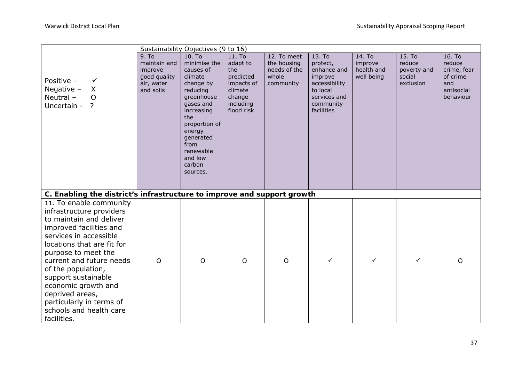| Sustainability Objectives (9 to 16)                                                                                                                                                                                                                                                                                                                                               |                                                                             |                                                                                                                                                                                                                       |                                                                                                      |                                                                  |                                                                                                                      |                                               |                                                        |                                                                               |  |  |
|-----------------------------------------------------------------------------------------------------------------------------------------------------------------------------------------------------------------------------------------------------------------------------------------------------------------------------------------------------------------------------------|-----------------------------------------------------------------------------|-----------------------------------------------------------------------------------------------------------------------------------------------------------------------------------------------------------------------|------------------------------------------------------------------------------------------------------|------------------------------------------------------------------|----------------------------------------------------------------------------------------------------------------------|-----------------------------------------------|--------------------------------------------------------|-------------------------------------------------------------------------------|--|--|
| Positive -<br>$\checkmark$<br>Negative $-$<br>X<br>Neutral-<br>$\overline{O}$<br>Uncertain - ?                                                                                                                                                                                                                                                                                    | 9. To<br>maintain and<br>improve<br>good quality<br>air, water<br>and soils | 10. To<br>minimise the<br>causes of<br>climate<br>change by<br>reducing<br>greenhouse<br>gases and<br>increasing<br>the<br>proportion of<br>energy<br>generated<br>from<br>renewable<br>and low<br>carbon<br>sources. | 11. To<br>adapt to<br>the<br>predicted<br>impacts of<br>climate<br>change<br>including<br>flood risk | 12. To meet<br>the housing<br>needs of the<br>whole<br>community | 13. To<br>protect,<br>enhance and<br>improve<br>accessibility<br>to local<br>services and<br>community<br>facilities | 14. To<br>improve<br>health and<br>well being | 15. To<br>reduce<br>poverty and<br>social<br>exclusion | 16. To<br>reduce<br>crime, fear<br>of crime<br>and<br>antisocial<br>behaviour |  |  |
| C. Enabling the district's infrastructure to improve and support growth                                                                                                                                                                                                                                                                                                           |                                                                             |                                                                                                                                                                                                                       |                                                                                                      |                                                                  |                                                                                                                      |                                               |                                                        |                                                                               |  |  |
| 11. To enable community<br>infrastructure providers<br>to maintain and deliver<br>improved facilities and<br>services in accessible<br>locations that are fit for<br>purpose to meet the<br>current and future needs<br>of the population,<br>support sustainable<br>economic growth and<br>deprived areas,<br>particularly in terms of<br>schools and health care<br>facilities. | $\circ$                                                                     | $\overline{O}$                                                                                                                                                                                                        | $\circ$                                                                                              | $\circ$                                                          | ✓                                                                                                                    | $\checkmark$                                  | ✓                                                      | O                                                                             |  |  |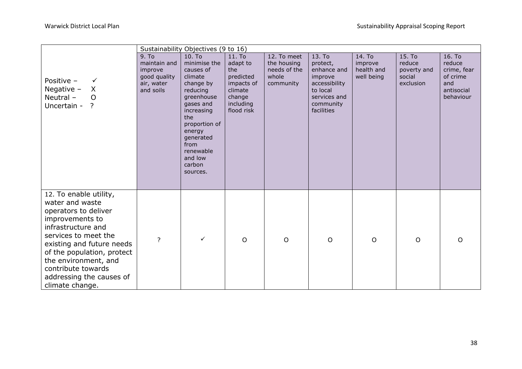| Sustainability Objectives (9 to 16)                                                                                                                                                                                                                                                        |                                                                             |                                                                                                                                                                                                                       |                                                                                                      |                                                                  |                                                                                                                      |                                               |                                                        |                                                                               |
|--------------------------------------------------------------------------------------------------------------------------------------------------------------------------------------------------------------------------------------------------------------------------------------------|-----------------------------------------------------------------------------|-----------------------------------------------------------------------------------------------------------------------------------------------------------------------------------------------------------------------|------------------------------------------------------------------------------------------------------|------------------------------------------------------------------|----------------------------------------------------------------------------------------------------------------------|-----------------------------------------------|--------------------------------------------------------|-------------------------------------------------------------------------------|
| Positive -<br>$\checkmark$<br>Negative $-$<br>X<br>Neutral-<br>$\circ$<br>Uncertain - ?                                                                                                                                                                                                    | 9. To<br>maintain and<br>improve<br>good quality<br>air, water<br>and soils | 10. To<br>minimise the<br>causes of<br>climate<br>change by<br>reducing<br>greenhouse<br>gases and<br>increasing<br>the<br>proportion of<br>energy<br>generated<br>from<br>renewable<br>and low<br>carbon<br>sources. | 11. To<br>adapt to<br>the<br>predicted<br>impacts of<br>climate<br>change<br>including<br>flood risk | 12. To meet<br>the housing<br>needs of the<br>whole<br>community | 13. To<br>protect,<br>enhance and<br>improve<br>accessibility<br>to local<br>services and<br>community<br>facilities | 14. To<br>improve<br>health and<br>well being | 15. To<br>reduce<br>poverty and<br>social<br>exclusion | 16. To<br>reduce<br>crime, fear<br>of crime<br>and<br>antisocial<br>behaviour |
| 12. To enable utility,<br>water and waste<br>operators to deliver<br>improvements to<br>infrastructure and<br>services to meet the<br>existing and future needs<br>of the population, protect<br>the environment, and<br>contribute towards<br>addressing the causes of<br>climate change. | ?                                                                           | $\checkmark$                                                                                                                                                                                                          | $\circ$                                                                                              | $\mathsf{O}$                                                     | $\mathsf{O}$                                                                                                         | $\circ$                                       | $\circ$                                                | $\circ$                                                                       |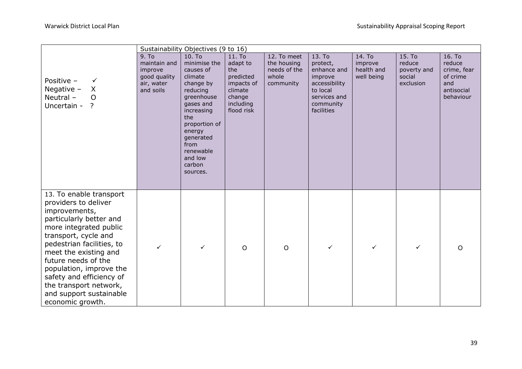|                                                                                                                                                                                                                                                                                                                                                            | Sustainability Objectives (9 to 16)                                                     |                                                                                                                                                                                                                       |                                                                                                                  |                                                                  |                                                                                                                      |                                               |                                                        |                                                                               |  |
|------------------------------------------------------------------------------------------------------------------------------------------------------------------------------------------------------------------------------------------------------------------------------------------------------------------------------------------------------------|-----------------------------------------------------------------------------------------|-----------------------------------------------------------------------------------------------------------------------------------------------------------------------------------------------------------------------|------------------------------------------------------------------------------------------------------------------|------------------------------------------------------------------|----------------------------------------------------------------------------------------------------------------------|-----------------------------------------------|--------------------------------------------------------|-------------------------------------------------------------------------------|--|
| Positive -<br>✓<br>Negative $-$<br>X<br>Neutral-<br>$\Omega$<br>Uncertain -<br>$\overline{?}$                                                                                                                                                                                                                                                              | 9. T <sub>o</sub><br>maintain and<br>improve<br>good quality<br>air, water<br>and soils | 10. To<br>minimise the<br>causes of<br>climate<br>change by<br>reducing<br>greenhouse<br>gases and<br>increasing<br>the<br>proportion of<br>energy<br>generated<br>from<br>renewable<br>and low<br>carbon<br>sources. | 11. T <sub>0</sub><br>adapt to<br>the<br>predicted<br>impacts of<br>climate<br>change<br>including<br>flood risk | 12. To meet<br>the housing<br>needs of the<br>whole<br>community | 13. To<br>protect,<br>enhance and<br>improve<br>accessibility<br>to local<br>services and<br>community<br>facilities | 14. To<br>improve<br>health and<br>well being | 15. To<br>reduce<br>poverty and<br>social<br>exclusion | 16. To<br>reduce<br>crime, fear<br>of crime<br>and<br>antisocial<br>behaviour |  |
| 13. To enable transport<br>providers to deliver<br>improvements,<br>particularly better and<br>more integrated public<br>transport, cycle and<br>pedestrian facilities, to<br>meet the existing and<br>future needs of the<br>population, improve the<br>safety and efficiency of<br>the transport network,<br>and support sustainable<br>economic growth. |                                                                                         | $\checkmark$                                                                                                                                                                                                          | $\circ$                                                                                                          | $\circ$                                                          | ✓                                                                                                                    | $\checkmark$                                  | ✓                                                      | $\Omega$                                                                      |  |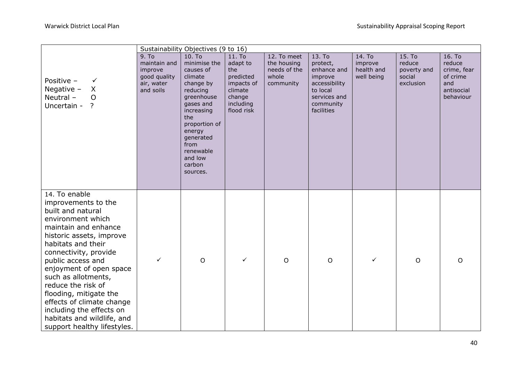| Sustainability Objectives (9 to 16)                                                                                                                                                                                                                                                                                                                                                                                            |                                                                             |                                                                                                                                                                                                                       |                                                                                                      |                                                                  |                                                                                                                      |                                               |                                                        |                                                                               |  |
|--------------------------------------------------------------------------------------------------------------------------------------------------------------------------------------------------------------------------------------------------------------------------------------------------------------------------------------------------------------------------------------------------------------------------------|-----------------------------------------------------------------------------|-----------------------------------------------------------------------------------------------------------------------------------------------------------------------------------------------------------------------|------------------------------------------------------------------------------------------------------|------------------------------------------------------------------|----------------------------------------------------------------------------------------------------------------------|-----------------------------------------------|--------------------------------------------------------|-------------------------------------------------------------------------------|--|
| Positive -<br>$\checkmark$<br>X<br>Negative $-$<br>Neutral-<br>$\overline{O}$<br>Uncertain -<br>$\cdot$                                                                                                                                                                                                                                                                                                                        | 9. To<br>maintain and<br>improve<br>good quality<br>air, water<br>and soils | 10. To<br>minimise the<br>causes of<br>climate<br>change by<br>reducing<br>greenhouse<br>gases and<br>increasing<br>the<br>proportion of<br>energy<br>generated<br>from<br>renewable<br>and low<br>carbon<br>sources. | 11. To<br>adapt to<br>the<br>predicted<br>impacts of<br>climate<br>change<br>including<br>flood risk | 12. To meet<br>the housing<br>needs of the<br>whole<br>community | 13. To<br>protect,<br>enhance and<br>improve<br>accessibility<br>to local<br>services and<br>community<br>facilities | 14. To<br>improve<br>health and<br>well being | 15. To<br>reduce<br>poverty and<br>social<br>exclusion | 16. To<br>reduce<br>crime, fear<br>of crime<br>and<br>antisocial<br>behaviour |  |
| 14. To enable<br>improvements to the<br>built and natural<br>environment which<br>maintain and enhance<br>historic assets, improve<br>habitats and their<br>connectivity, provide<br>public access and<br>enjoyment of open space<br>such as allotments,<br>reduce the risk of<br>flooding, mitigate the<br>effects of climate change<br>including the effects on<br>habitats and wildlife, and<br>support healthy lifestyles. | ✓                                                                           | $\circ$                                                                                                                                                                                                               | $\checkmark$                                                                                         | $\circ$                                                          | $\circ$                                                                                                              | $\checkmark$                                  | $\circ$                                                | $\circ$                                                                       |  |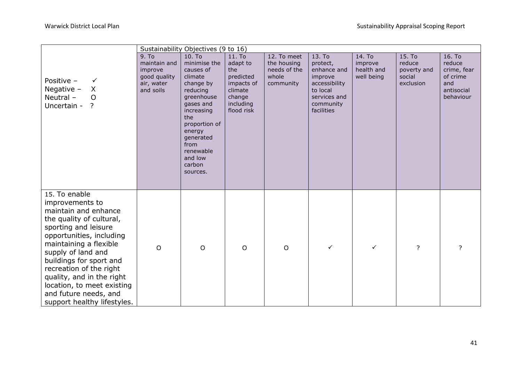|                                                                                                                                                                                                                                                                                                                                                                   | Sustainability Objectives (9 to 16)                                         |                                                                                                                                                                                                                       |                                                                                                      |                                                                  |                                                                                                                      |                                               |                                                        |                                                                               |  |
|-------------------------------------------------------------------------------------------------------------------------------------------------------------------------------------------------------------------------------------------------------------------------------------------------------------------------------------------------------------------|-----------------------------------------------------------------------------|-----------------------------------------------------------------------------------------------------------------------------------------------------------------------------------------------------------------------|------------------------------------------------------------------------------------------------------|------------------------------------------------------------------|----------------------------------------------------------------------------------------------------------------------|-----------------------------------------------|--------------------------------------------------------|-------------------------------------------------------------------------------|--|
| Positive -<br>$\checkmark$<br>Negative $-$<br>$\sf X$<br>Neutral-<br>$\Omega$<br>Uncertain - ?                                                                                                                                                                                                                                                                    | 9. To<br>maintain and<br>improve<br>good quality<br>air, water<br>and soils | 10. To<br>minimise the<br>causes of<br>climate<br>change by<br>reducing<br>greenhouse<br>gases and<br>increasing<br>the<br>proportion of<br>energy<br>generated<br>from<br>renewable<br>and low<br>carbon<br>sources. | 11. To<br>adapt to<br>the<br>predicted<br>impacts of<br>climate<br>change<br>including<br>flood risk | 12. To meet<br>the housing<br>needs of the<br>whole<br>community | 13. To<br>protect,<br>enhance and<br>improve<br>accessibility<br>to local<br>services and<br>community<br>facilities | 14. To<br>improve<br>health and<br>well being | 15. To<br>reduce<br>poverty and<br>social<br>exclusion | 16. To<br>reduce<br>crime, fear<br>of crime<br>and<br>antisocial<br>behaviour |  |
| 15. To enable<br>improvements to<br>maintain and enhance<br>the quality of cultural,<br>sporting and leisure<br>opportunities, including<br>maintaining a flexible<br>supply of land and<br>buildings for sport and<br>recreation of the right<br>quality, and in the right<br>location, to meet existing<br>and future needs, and<br>support healthy lifestyles. | $\circ$                                                                     | $\circ$                                                                                                                                                                                                               | $\circ$                                                                                              | $\mathsf{O}$                                                     | ✓                                                                                                                    | $\checkmark$                                  | ?                                                      | 2                                                                             |  |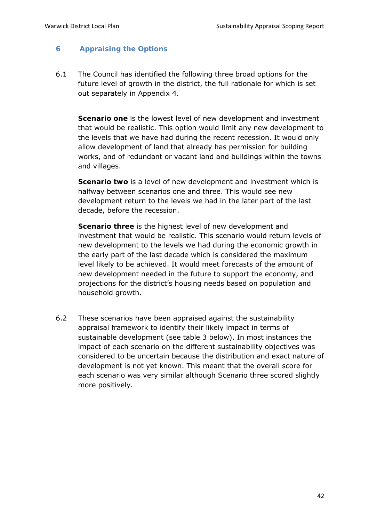# **6 Appraising the Options**

6.1 The Council has identified the following three broad options for the future level of growth in the district, the full rationale for which is set out separately in Appendix 4.

**Scenario one** is the lowest level of new development and investment that would be realistic. This option would limit any new development to the levels that we have had during the recent recession. It would only allow development of land that already has permission for building works, and of redundant or vacant land and buildings within the towns and villages.

**Scenario two** is a level of new development and investment which is halfway between scenarios one and three. This would see new development return to the levels we had in the later part of the last decade, before the recession.

**Scenario three** is the highest level of new development and investment that would be realistic. This scenario would return levels of new development to the levels we had during the economic growth in the early part of the last decade which is considered the maximum level likely to be achieved. It would meet forecasts of the amount of new development needed in the future to support the economy, and projections for the district's housing needs based on population and household growth.

6.2 These scenarios have been appraised against the sustainability appraisal framework to identify their likely impact in terms of sustainable development (see table 3 below). In most instances the impact of each scenario on the different sustainability objectives was considered to be uncertain because the distribution and exact nature of development is not yet known. This meant that the overall score for each scenario was very similar although Scenario three scored slightly more positively.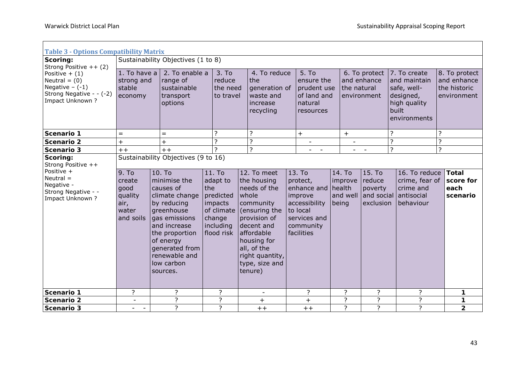$\overline{\phantom{0}}$ 

| <b>Table 3 - Options Compatibility Matrix</b>                                                          |                                                                                                                      |                                                                                                                                                                                                                   |                                                                                                      |                                                                                                                                                                                                             |                                                                                                                                                   |                                        |                                             |                                                                                                   |                                                             |  |  |  |
|--------------------------------------------------------------------------------------------------------|----------------------------------------------------------------------------------------------------------------------|-------------------------------------------------------------------------------------------------------------------------------------------------------------------------------------------------------------------|------------------------------------------------------------------------------------------------------|-------------------------------------------------------------------------------------------------------------------------------------------------------------------------------------------------------------|---------------------------------------------------------------------------------------------------------------------------------------------------|----------------------------------------|---------------------------------------------|---------------------------------------------------------------------------------------------------|-------------------------------------------------------------|--|--|--|
| Scoring:<br>Strong Positive $++(2)$                                                                    | Sustainability Objectives (1 to 8)                                                                                   |                                                                                                                                                                                                                   |                                                                                                      |                                                                                                                                                                                                             |                                                                                                                                                   |                                        |                                             |                                                                                                   |                                                             |  |  |  |
| Positive $+$ (1)<br>Neutral = $(0)$<br>Negative $-(-1)$<br>Strong Negative - - (-2)<br>Impact Unknown? | 2. To enable a<br>1. To have a<br>strong and<br>range of<br>stable<br>sustainable<br>transport<br>economy<br>options |                                                                                                                                                                                                                   | 3. To<br>reduce<br>the need<br>to travel                                                             | 4. To reduce<br><b>Ithe</b><br>generation of<br>waste and<br>increase<br>recycling                                                                                                                          | 5. To<br>ensure the<br>prudent use<br>of land and<br>natural<br>resources                                                                         | the natural                            | 6. To protect<br>and enhance<br>environment | 7. To create<br>and maintain<br>safe, well-<br>designed,<br>high quality<br>built<br>environments | 8. To protect<br>and enhance<br>the historic<br>environment |  |  |  |
| Scenario 1                                                                                             | $=$                                                                                                                  | $=$                                                                                                                                                                                                               | 7                                                                                                    | 7                                                                                                                                                                                                           | $\ddot{}$                                                                                                                                         | $+$                                    |                                             | ?                                                                                                 | 7                                                           |  |  |  |
| <b>Scenario 2</b>                                                                                      | $\ddot{}$                                                                                                            | $\ddot{}$                                                                                                                                                                                                         | ?<br>$\overline{?}$                                                                                  | ?<br>?                                                                                                                                                                                                      |                                                                                                                                                   | $\overline{\phantom{a}}$               |                                             | $\overline{\cdot}$                                                                                | $\overline{\cdot}$<br>$\overline{?}$                        |  |  |  |
| Scenario 3<br>Scoring:<br>Strong Positive ++                                                           | $\overline{?}$<br>$++$<br>$++$<br>$ -$<br>Sustainability Objectives (9 to 16)                                        |                                                                                                                                                                                                                   |                                                                                                      |                                                                                                                                                                                                             |                                                                                                                                                   |                                        |                                             |                                                                                                   |                                                             |  |  |  |
| Positive +<br>$Neutral =$<br>Negative -<br>Strong Negative - -<br>Impact Unknown?                      | 9. To<br>create<br>good<br>quality<br>air,<br>water<br>and soils                                                     | $10.$ To<br>minimise the<br>causes of<br>climate change<br>by reducing<br>greenhouse<br>gas emissions<br>and increase<br>the proportion<br>of energy<br>generated from<br>renewable and<br>low carbon<br>sources. | 11. To<br>adapt to<br>the<br>predicted<br>impacts<br>of climate<br>change<br>including<br>flood risk | 12. To meet<br>the housing<br>needs of the<br>whole<br>community<br>(ensuring the<br>provision of<br>decent and<br>affordable<br>housing for<br>all, of the<br>right quantity,<br>type, size and<br>tenure) | 13. To<br>protect,<br>enhance and health<br>improve<br>accessibility<br>to local<br>services and<br>community<br><i><u><b>Ifacilities</b></u></i> | 14. To<br>improve<br>and well<br>being | 15. To<br>reduce<br>poverty<br>exclusion    | 16. To reduce<br>crime, fear of<br>crime and<br>and social antisocial<br>behaviour                | <b>Total</b><br>score for<br>each<br>scenario               |  |  |  |
| Scenario 1                                                                                             | $\overline{?}$                                                                                                       | ?                                                                                                                                                                                                                 | ?                                                                                                    | $\overline{\phantom{a}}$                                                                                                                                                                                    | ?                                                                                                                                                 | ?                                      | ?                                           | ?                                                                                                 | 1                                                           |  |  |  |
| Scenario 2                                                                                             | $\overline{\phantom{a}}$                                                                                             | $\overline{?}$                                                                                                                                                                                                    | $\overline{?}$                                                                                       | $\ddot{}$                                                                                                                                                                                                   | $+$                                                                                                                                               | $\overline{?}$                         | $\overline{?}$                              | $\overline{?}$                                                                                    | 1                                                           |  |  |  |
| Scenario 3                                                                                             | $\overline{\phantom{a}}$                                                                                             | ?                                                                                                                                                                                                                 | $\overline{?}$                                                                                       | $++$                                                                                                                                                                                                        | $++$                                                                                                                                              | $\overline{?}$                         | $\overline{?}$                              | $\overline{?}$                                                                                    | $\overline{\mathbf{2}}$                                     |  |  |  |